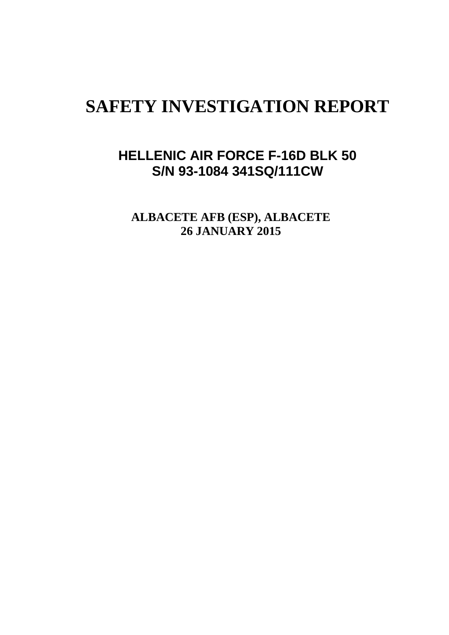# **SAFETY INVESTIGATION REPORT**

# **HELLENIC AIR FORCE F-16D BLK 50 S/N 93-1084 341SQ/111CW**

**ALBACETE AFB (ESP), ALBACETE 26 JANUARY 2015**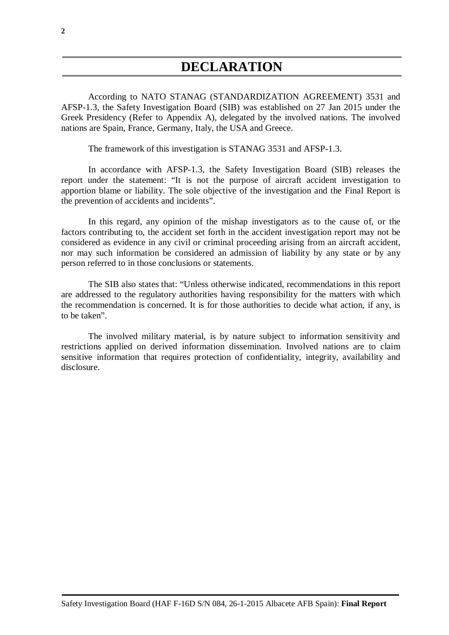# **DECLARATION**

<span id="page-1-0"></span>According to NATO STANAG (STANDARDIZATION AGREEMENT) 3531 and AFSP-1.3, the Safety Investigation Board (SIB) was established on 27 Jan 2015 under the Greek Presidency (Refer to Appendix A), delegated by the involved nations. The involved nations are Spain, France, Germany, Italy, the USA and Greece.

The framework of this investigation is STANAG 3531 and AFSP-1.3.

In accordance with AFSP-1.3, the Safety Investigation Board (SIB) releases the report under the statement: "It is not the purpose of aircraft accident investigation to apportion blame or liability. The sole objective of the investigation and the Final Report is the prevention of accidents and incidents".

In this regard, any opinion of the mishap investigators as to the cause of, or the factors contributing to, the accident set forth in the accident investigation report may not be considered as evidence in any civil or criminal proceeding arising from an aircraft accident, nor may such information be considered an admission of liability by any state or by any person referred to in those conclusions or statements.

The SIB also states that: "Unless otherwise indicated, recommendations in this report are addressed to the regulatory authorities having responsibility for the matters with which the recommendation is concerned. It is for those authorities to decide what action, if any, is to be taken".

The involved military material, is by nature subject to information sensitivity and restrictions applied on derived information dissemination. Involved nations are to claim sensitive information that requires protection of confidentiality, integrity, availability and disclosure.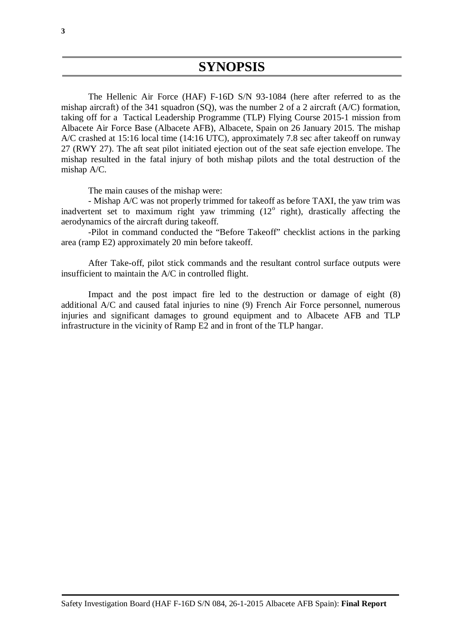<span id="page-2-0"></span>The Hellenic Air Force (HAF) F-16D S/N 93-1084 (here after referred to as the mishap aircraft) of the 341 squadron (SQ), was the number 2 of a 2 aircraft (A/C) formation, taking off for a Tactical Leadership Programme (TLP) Flying Course 2015-1 mission from Albacete Air Force Base (Albacete AFB), Albacete, Spain on 26 January 2015. The mishap A/C crashed at 15:16 local time (14:16 UTC), approximately 7.8 sec after takeoff on runway 27 (RWY 27). The aft seat pilot initiated ejection out of the seat safe ejection envelope. The mishap resulted in the fatal injury of both mishap pilots and the total destruction of the mishap A/C.

The main causes of the mishap were:

- Mishap A/C was not properly trimmed for takeoff as before TAXI, the yaw trim was inadvertent set to maximum right yaw trimming  $(12^{\circ}$  right), drastically affecting the aerodynamics of the aircraft during takeoff.

-Pilot in command conducted the "Before Takeoff" checklist actions in the parking area (ramp E2) approximately 20 min before takeoff.

After Take-off, pilot stick commands and the resultant control surface outputs were insufficient to maintain the A/C in controlled flight.

Impact and the post impact fire led to the destruction or damage of eight (8) additional A/C and caused fatal injuries to nine (9) French Air Force personnel, numerous injuries and significant damages to ground equipment and to Albacete AFB and TLP infrastructure in the vicinity of Ramp E2 and in front of the TLP hangar.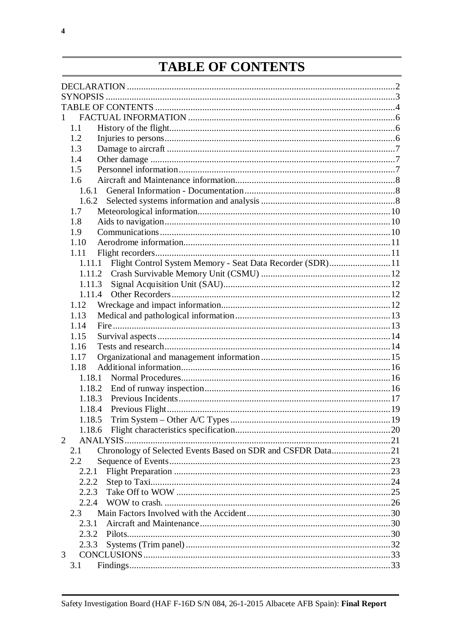# **TABLE OF CONTENTS**

<span id="page-3-0"></span>

| $\mathbf{1}$   |                                                             |  |
|----------------|-------------------------------------------------------------|--|
| 1.1            |                                                             |  |
| 1.2            |                                                             |  |
| 1.3            |                                                             |  |
| 1.4            |                                                             |  |
| 1.5            |                                                             |  |
| 1.6            |                                                             |  |
| 1.6.1          |                                                             |  |
| 1.6.2          |                                                             |  |
| 1.7            |                                                             |  |
| 1.8            |                                                             |  |
| 1.9            |                                                             |  |
| 1.10           |                                                             |  |
| 1.11           |                                                             |  |
| 1.11.1         | Flight Control System Memory - Seat Data Recorder (SDR)11   |  |
| 1.11.2         |                                                             |  |
| 1.11.3         |                                                             |  |
| 1.11.4         |                                                             |  |
| 1.12           |                                                             |  |
| 1.13           |                                                             |  |
| 1.14           |                                                             |  |
| 1.15           |                                                             |  |
| 1.16           |                                                             |  |
| 1.17           |                                                             |  |
| 1.18           |                                                             |  |
| 1.18.1         |                                                             |  |
| 1.18.2         |                                                             |  |
| 1.18.3         |                                                             |  |
| 1.18.4         |                                                             |  |
| 1.18.5         |                                                             |  |
|                |                                                             |  |
| $\overline{2}$ |                                                             |  |
| 2.1            | Chronology of Selected Events Based on SDR and CSFDR Data21 |  |
| 2.2            |                                                             |  |
| 2.2.1          |                                                             |  |
| 2.2.2          |                                                             |  |
| 2.2.3          |                                                             |  |
| 2.2.4          |                                                             |  |
| 2.3            |                                                             |  |
| 2.3.1          |                                                             |  |
| 2.3.2          |                                                             |  |
| 2.3.3          |                                                             |  |
| 3              |                                                             |  |
| 3.1            |                                                             |  |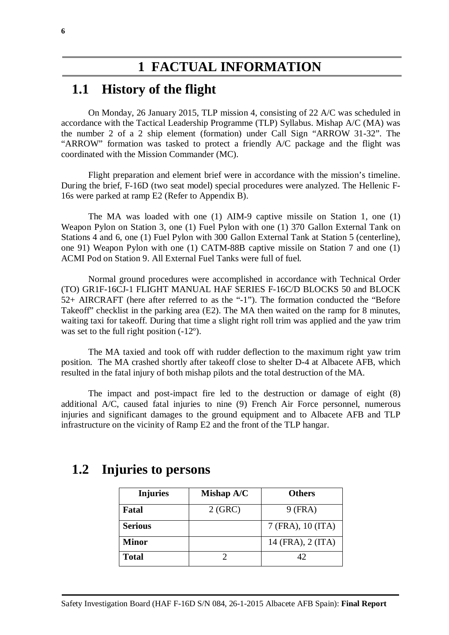# **1 FACTUAL INFORMATION**

### <span id="page-5-1"></span><span id="page-5-0"></span>**1.1 History of the flight**

On Monday, 26 January 2015, TLP mission 4, consisting of 22 A/C was scheduled in accordance with the Tactical Leadership Programme (TLP) Syllabus. Mishap A/C (MA) was the number 2 of a 2 ship element (formation) under Call Sign "ARROW 31-32". The "ARROW" formation was tasked to protect a friendly A/C package and the flight was coordinated with the Mission Commander (MC).

Flight preparation and element brief were in accordance with the mission's timeline. During the brief, F-16D (two seat model) special procedures were analyzed. The Hellenic F-16s were parked at ramp E2 (Refer to Appendix B).

The MA was loaded with one (1) AIM-9 captive missile on Station 1, one (1) Weapon Pylon on Station 3, one (1) Fuel Pylon with one (1) 370 Gallon External Tank on Stations 4 and 6, one (1) Fuel Pylon with 300 Gallon External Tank at Station 5 (centerline), one 91) Weapon Pylon with one (1) CATM-88B captive missile on Station 7 and one (1) ACMI Pod on Station 9. All External Fuel Tanks were full of fuel.

Normal ground procedures were accomplished in accordance with Technical Order (TO) GR1F-16CJ-1 FLIGHT MANUAL HAF SERIES F-16C/D BLOCKS 50 and BLOCK 52+ AIRCRAFT (here after referred to as the "-1"). The formation conducted the "Before Takeoff' checklist in the parking area (E2). The MA then waited on the ramp for 8 minutes, waiting taxi for takeoff. During that time a slight right roll trim was applied and the yaw trim was set to the full right position  $(-12^{\circ})$ .

The MA taxied and took off with rudder deflection to the maximum right yaw trim position. The MA crashed shortly after takeoff close to shelter D-4 at Albacete AFB, which resulted in the fatal injury of both mishap pilots and the total destruction of the MA.

The impact and post-impact fire led to the destruction or damage of eight (8) additional A/C, caused fatal injuries to nine (9) French Air Force personnel, numerous injuries and significant damages to the ground equipment and to Albacete AFB and TLP infrastructure on the vicinity of Ramp E2 and the front of the TLP hangar.

| <b>Injuries</b> | Mishap A/C | <b>Others</b>     |
|-----------------|------------|-------------------|
| Fatal           | 2(GRC)     | $9$ (FRA)         |
| <b>Serious</b>  |            | 7 (FRA), 10 (ITA) |
| <b>Minor</b>    |            | 14 (FRA), 2 (ITA) |
| <b>Total</b>    |            | 42                |

### <span id="page-5-2"></span>**1.2 Injuries to persons**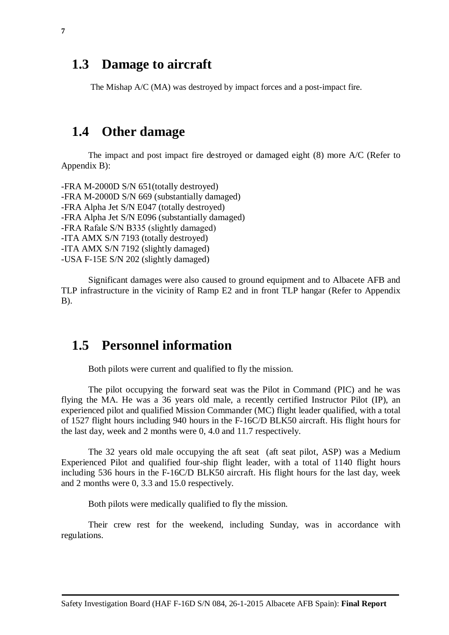### <span id="page-6-0"></span>**1.3 Damage to aircraft**

The Mishap A/C (MA) was destroyed by impact forces and a post-impact fire.

### <span id="page-6-1"></span>**1.4 Other damage**

The impact and post impact fire destroyed or damaged eight (8) more A/C (Refer to Appendix B):

-FRA M-2000D S/N 651(totally destroyed) -FRA M-2000D S/N 669 (substantially damaged) -FRA Alpha Jet S/N E047 (totally destroyed) -FRA Alpha Jet S/N E096 (substantially damaged) -FRA Rafale S/N Β335 (slightly damaged) -ITA AMX S/N 7193 (totally destroyed) -ITA AMX S/N 7192 (slightly damaged) -USA F-15E S/N 202 (slightly damaged)

Significant damages were also caused to ground equipment and to Albacete AFB and TLP infrastructure in the vicinity of Ramp E2 and in front TLP hangar (Refer to Appendix B).

## <span id="page-6-2"></span>**1.5 Personnel information**

Both pilots were current and qualified to fly the mission.

The pilot occupying the forward seat was the Pilot in Command (PIC) and he was flying the ΜΑ. He was a 36 years old male, a recently certified Instructor Pilot (IP), an experienced pilot and qualified Mission Commander (MC) flight leader qualified, with a total of 1527 flight hours including 940 hours in the F-16C/D BLK50 aircraft. His flight hours for the last day, week and 2 months were 0, 4.0 and 11.7 respectively.

The 32 years old male occupying the aft seat (aft seat pilot, ASP) was a Medium Experienced Pilot and qualified four-ship flight leader, with a total of 1140 flight hours including 536 hours in the F-16C/D BLK50 aircraft. His flight hours for the last day, week and 2 months were 0, 3.3 and 15.0 respectively.

Both pilots were medically qualified to fly the mission.

Their crew rest for the weekend, including Sunday, was in accordance with regulations.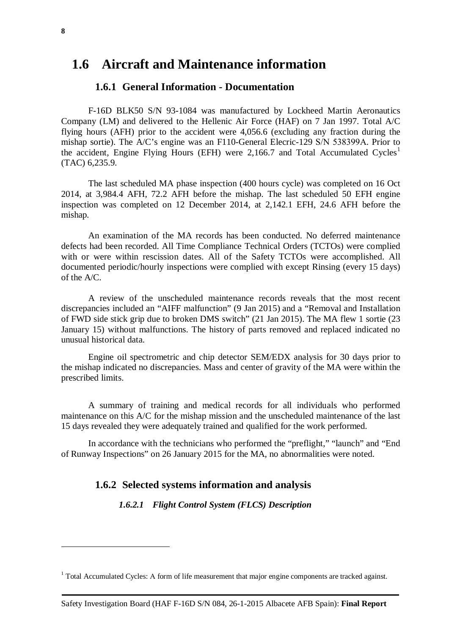### <span id="page-7-1"></span><span id="page-7-0"></span>**1.6 Aircraft and Maintenance information**

#### **1.6.1 General Information - Documentation**

F-16D BLK50 S/N 93-1084 was manufactured by Lockheed Martin Aeronautics Company (LM) and delivered to the Hellenic Air Force (HAF) on 7 Jan 1997. Total A/C flying hours (AFH) prior to the accident were 4,056.6 (excluding any fraction during the mishap sortie). The A/C's engine was an F110-General Elecric-129 S/N 538399Α. Prior to the accident, Engine Flying Hours (EFH) were 2,[1](#page-11-4)66.7 and Total Accumulated Cycles<sup>1</sup> (TAC) 6,235.9.

The last scheduled MA phase inspection (400 hours cycle) was completed on 16 Oct 2014, at 3,984.4 AFH, 72.2 AFH before the mishap. The last scheduled 50 EFH engine inspection was completed on 12 December 2014, at 2,142.1 EFH, 24.6 AFH before the mishap.

An examination of the MA records has been conducted. No deferred maintenance defects had been recorded. All Time Compliance Technical Orders (TCTOs) were complied with or were within rescission dates. All of the Safety TCTOs were accomplished. All documented periodic/hourly inspections were complied with except Rinsing (every 15 days) of the A/C.

A review of the unscheduled maintenance records reveals that the most recent discrepancies included an "AIFF malfunction" (9 Jan 2015) and a "Removal and Installation of FWD side stick grip due to broken DMS switch" (21 Jan 2015). The MA flew 1 sortie (23 January 15) without malfunctions. The history of parts removed and replaced indicated no unusual historical data.

Engine oil spectrometric and chip detector SEM/EDX analysis for 30 days prior to the mishap indicated no discrepancies. Mass and center of gravity of the MA were within the prescribed limits.

A summary of training and medical records for all individuals who performed maintenance on this A/C for the mishap mission and the unscheduled maintenance of the last 15 days revealed they were adequately trained and qualified for the work performed.

<span id="page-7-2"></span>In accordance with the technicians who performed the "preflight," "launch" and "End of Runway Inspections" on 26 January 2015 for the MA, no abnormalities were noted.

#### **1.6.2 Selected systems information and analysis**

*1.6.2.1 Flight Control System (FLCS) Description*

 $\overline{a}$ 

 $<sup>1</sup>$  Total Accumulated Cycles: A form of life measurement that major engine components are tracked against.</sup>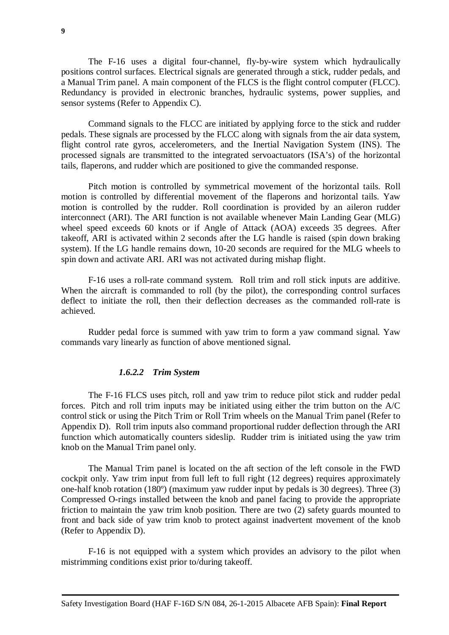**9**

The F-16 uses a digital four-channel, fly-by-wire system which hydraulically positions control surfaces. Electrical signals are generated through a stick, rudder pedals, and a Manual Trim panel. A main component of the FLCS is the flight control computer (FLCC). Redundancy is provided in electronic branches, hydraulic systems, power supplies, and sensor systems (Refer to Appendix C).

Command signals to the FLCC are initiated by applying force to the stick and rudder pedals. These signals are processed by the FLCC along with signals from the air data system, flight control rate gyros, accelerometers, and the Inertial Navigation System (INS). The processed signals are transmitted to the integrated servoactuators (ISA's) of the horizontal tails, flaperons, and rudder which are positioned to give the commanded response.

Pitch motion is controlled by symmetrical movement of the horizontal tails. Roll motion is controlled by differential movement of the flaperons and horizontal tails. Yaw motion is controlled by the rudder. Roll coordination is provided by an aileron rudder interconnect (ARI). The ARI function is not available whenever Main Landing Gear (MLG) wheel speed exceeds 60 knots or if Angle of Attack (AOA) exceeds 35 degrees. After takeoff, ARI is activated within 2 seconds after the LG handle is raised (spin down braking system). If the LG handle remains down, 10-20 seconds are required for the MLG wheels to spin down and activate ARI. ARI was not activated during mishap flight.

F-16 uses a roll-rate command system. Roll trim and roll stick inputs are additive. When the aircraft is commanded to roll (by the pilot), the corresponding control surfaces deflect to initiate the roll, then their deflection decreases as the commanded roll-rate is achieved.

Rudder pedal force is summed with yaw trim to form a yaw command signal. Yaw commands vary linearly as function of above mentioned signal.

#### *1.6.2.2 Trim System*

The F-16 FLCS uses pitch, roll and yaw trim to reduce pilot stick and rudder pedal forces. Pitch and roll trim inputs may be initiated using either the trim button on the A/C control stick or using the Pitch Trim or Roll Trim wheels on the Manual Trim panel (Refer to Appendix D). Roll trim inputs also command proportional rudder deflection through the ARI function which automatically counters sideslip. Rudder trim is initiated using the yaw trim knob on the Manual Trim panel only.

The Manual Trim panel is located on the aft section of the left console in the FWD cockpit only. Yaw trim input from full left to full right (12 degrees) requires approximately one-half knob rotation (180º) (maximum yaw rudder input by pedals is 30 degrees). Three (3) Compressed O-rings installed between the knob and panel facing to provide the appropriate friction to maintain the yaw trim knob position. There are two (2) safety guards mounted to front and back side of yaw trim knob to protect against inadvertent movement of the knob (Refer to Appendix D).

F-16 is not equipped with a system which provides an advisory to the pilot when mistrimming conditions exist prior to/during takeoff.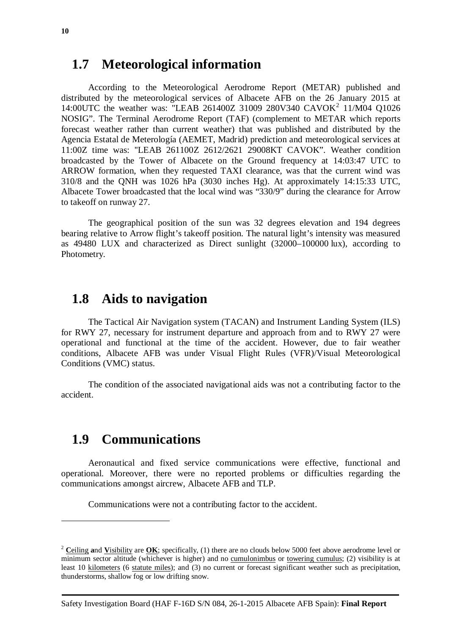### <span id="page-9-0"></span>**1.7 Meteorological information**

According to the Meteorological Aerodrome Report (METAR) published and distributed by the meteorological services of Albacete AFB on the 26 January 2015 at 14:00UTC the weather was: "LEAB [2](#page-13-2)61400Z 31009 280V340 CAVOK<sup>2</sup> 11/M04 O1026 NOSIG". The Terminal Aerodrome Report (TAF) (complement to METAR which reports forecast weather rather than current weather) that was published and distributed by the Agencia Estatal de Meterología (AEMET, Madrid) prediction and meteorological services at 11:00Z time was: ''LEAB 261100Z 2612/2621 29008KT CAVOK". Weather condition broadcasted by the Tower of Albacete on the Ground frequency at 14:03:47 UTC to ARROW formation, when they requested TAXI clearance, was that the current wind was 310/8 and the QNH was 1026 hPa (3030 inches Hg). At approximately 14:15:33 UTC, Albacete Tower broadcasted that the local wind was "330/9" during the clearance for Arrow to takeoff on runway 27.

The geographical position of the sun was 32 degrees elevation and 194 degrees bearing relative to Arrow flight's takeoff position. The natural light's intensity was measured as 49480 LUX and characterized as Direct sunlight (32000–100000 lux), according to Photometry.

## <span id="page-9-1"></span>**1.8 Aids to navigation**

The Tactical Air Navigation system (TACAN) and Instrument Landing System (ILS) for RWY 27, necessary for instrument departure and approach from and to RWY 27 were operational and functional at the time of the accident. However, due to fair weather conditions, Albacete AFB was under Visual Flight Rules (VFR)/Visual Meteorological Conditions (VMC) status.

The condition of the associated navigational aids was not a contributing factor to the accident.

# <span id="page-9-2"></span>**1.9 Communications**

 $\overline{a}$ 

Aeronautical and fixed service communications were effective, functional and operational. Moreover, there were no reported problems or difficulties regarding the communications amongst aircrew, Albacete AFB and TLP.

Communications were not a contributing factor to the accident.

Safety Investigation Board (HAF F-16D S/N 084, 26-1-2015 Albacete AFB Spain): **Final Report**

<sup>2</sup> **C**[eiling](http://en.wiktionary.org/wiki/ceiling) **a**nd **V**[isibility](http://en.wiktionary.org/wiki/visibility) are **[OK](http://en.wiktionary.org/wiki/OK)**; specifically, (1) there are no clouds below 5000 feet above aerodrome level or minimum sector altitude (whichever is higher) and no [cumulonimbus](http://en.wiktionary.org/wiki/cumulonimbus) or [towering cumulus;](http://en.wiktionary.org/w/index.php?title=towering_cumulus&action=edit&redlink=1) (2) visibility is at least 10 [kilometers](http://en.wiktionary.org/wiki/kilometre) (6 [statute miles\)](http://en.wiktionary.org/wiki/statute_mile); and (3) no current or forecast significant weather such as precipitation, thunderstorms, shallow fog or low drifting snow.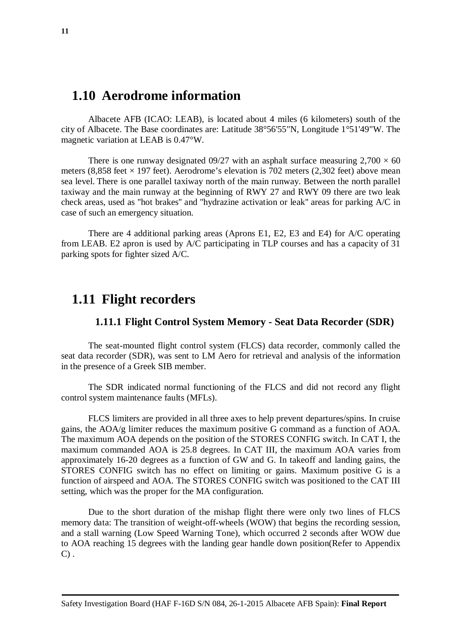### <span id="page-10-0"></span>**1.10 Aerodrome information**

Albacete AFB [\(ICAO:](http://en.wikipedia.org/wiki/International_Civil_Aviation_Organization_airport_code) LEAB), is located about 4 miles (6 kilometers) south of the city of [Albacete.](http://en.wikipedia.org/wiki/Albacete) The Base coordinates are: Latitude 38°56'55"N, Longitude 1°51'49"W. The magnetic variation at LEAB is 0.47°W.

There is one [runway](http://en.wikipedia.org/wiki/Runway) designated 09/27 with an [asphalt](http://en.wikipedia.org/wiki/Asphalt) surface measuring  $2,700 \times 60$ meters (8,858 feet  $\times$  197 feet). Aerodrome's [elevation](http://en.wikipedia.org/wiki/Elevation) is 702 meters (2,302 feet) above mean [sea level.](http://en.wikipedia.org/wiki/Mean_sea_level) There is one parallel taxiway north of the main runway. Between the north parallel taxiway and the main runway at the beginning of RWY 27 and RWY 09 there are two leak check areas, used as ''hot brakes'' and ''hydrazine activation or leak'' areas for parking A/C in case of such an emergency situation.

There are 4 additional parking areas (Aprons E1, E2, E3 and E4) for A/C operating from LEAB. E2 apron is used by A/C participating in TLP courses and has a capacity of 31 parking spots for fighter sized A/C.

### <span id="page-10-1"></span>**1.11 Flight recorders**

#### <span id="page-10-2"></span>**1.11.1 Flight Control System Memory - Seat Data Recorder (SDR)**

The seat-mounted flight control system (FLCS) data recorder, commonly called the seat data recorder (SDR), was sent to LM Aero for retrieval and analysis of the information in the presence of a Greek SIB member.

The SDR indicated normal functioning of the FLCS and did not record any flight control system maintenance faults (MFLs).

FLCS limiters are provided in all three axes to help prevent departures/spins. In cruise gains, the AOA/g limiter reduces the maximum positive G command as a function of AOA. The maximum AOA depends on the position of the STORES CONFIG switch. In CAT I, the maximum commanded AOA is 25.8 degrees. In CAT III, the maximum AOA varies from approximately 16-20 degrees as a function of GW and G. In takeoff and landing gains, the STORES CONFIG switch has no effect on limiting or gains. Maximum positive G is a function of airspeed and AOA. The STORES CONFIG switch was positioned to the CAT III setting, which was the proper for the MA configuration.

Due to the short duration of the mishap flight there were only two lines of FLCS memory data: The transition of weight-off-wheels (WOW) that begins the recording session, and a stall warning (Low Speed Warning Tone), which occurred 2 seconds after WOW due to AOA reaching 15 degrees with the landing gear handle down position(Refer to Appendix  $C$ ).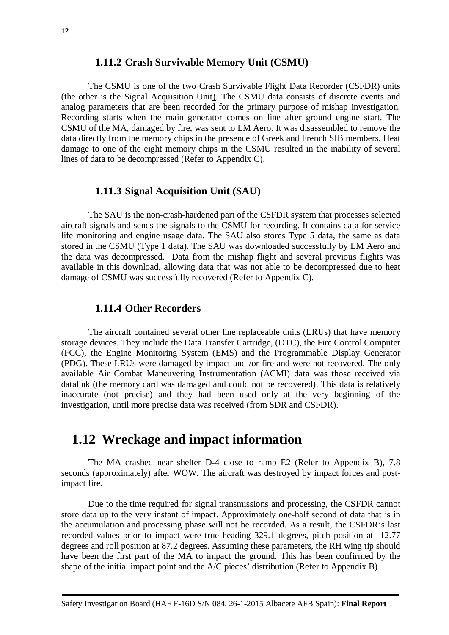<span id="page-11-0"></span>The CSMU is one of the two Crash Survivable Flight Data Recorder (CSFDR) units (the other is the Signal Acquisition Unit). The CSMU data consists of discrete events and analog parameters that are been recorded for the primary purpose of mishap investigation. Recording starts when the main generator comes on line after ground engine start. The CSMU of the ΜΑ, damaged by fire, was sent to LM Aero. It was disassembled to remove the data directly from the memory chips in the presence of Greek and French SIB members. Heat damage to one of the eight memory chips in the CSMU resulted in the inability of several lines of data to be decompressed (Refer to Appendix C).

#### <span id="page-11-1"></span>**1.11.3 Signal Acquisition Unit (SAU)**

The SAU is the non-crash-hardened part of the CSFDR system that processes selected aircraft signals and sends the signals to the CSMU for recording. It contains data for service life monitoring and engine usage data. The SAU also stores Type 5 data, the same as data stored in the CSMU (Type 1 data). The SAU was downloaded successfully by LM Aero and the data was decompressed. Data from the mishap flight and several previous flights was available in this download, allowing data that was not able to be decompressed due to heat damage of CSMU was successfully recovered (Refer to Appendix C).

#### <span id="page-11-2"></span>**1.11.4 Other Recorders**

The aircraft contained several other line replaceable units (LRUs) that have memory storage devices. They include the Data Transfer Cartridge, (DTC), the Fire Control Computer (FCC), the Engine Monitoring System (EMS) and the Programmable Display Generator (PDG). These LRUs were damaged by impact and /or fire and were not recovered. The only available Air Combat Maneuvering Instrumentation (ACMI) data was those received via datalink (the memory card was damaged and could not be recovered). This data is relatively inaccurate (not precise) and they had been used only at the very beginning of the investigation, until more precise data was received (from SDR and CSFDR).

### <span id="page-11-3"></span>**1.12 Wreckage and impact information**

The MA crashed near shelter D-4 close to ramp E2 (Refer to Appendix B), 7.8 seconds (approximately) after WOW. The aircraft was destroyed by impact forces and postimpact fire.

<span id="page-11-4"></span>Due to the time required for signal transmissions and processing, the CSFDR cannot store data up to the very instant of impact. Approximately one-half second of data that is in the accumulation and processing phase will not be recorded. As a result, the CSFDR's last recorded values prior to impact were true heading 329.1 degrees, pitch position at -12.77 degrees and roll position at 87.2 degrees. Assuming these parameters, the RH wing tip should have been the first part of the MA to impact the ground. This has been confirmed by the shape of the initial impact point and the A/C pieces' distribution (Refer to Appendix B)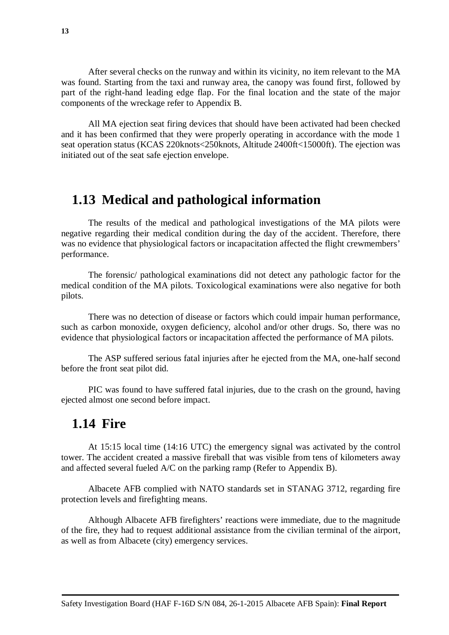After several checks on the runway and within its vicinity, no item relevant to the MA was found. Starting from the taxi and runway area, the canopy was found first, followed by part of the right-hand leading edge flap. For the final location and the state of the major components of the wreckage refer to Appendix B.

All MA ejection seat firing devices that should have been activated had been checked and it has been confirmed that they were properly operating in accordance with the mode 1 seat operation status (KCAS 220knots<250knots, Altitude 2400ft<15000ft). The ejection was initiated out of the seat safe ejection envelope.

### <span id="page-12-0"></span>**1.13 Medical and pathological information**

The results of the medical and pathological investigations of the MA pilots were negative regarding their medical condition during the day of the accident. Therefore, there was no evidence that physiological factors or incapacitation affected the flight crewmembers' performance.

The forensic/ pathological examinations did not detect any pathologic factor for the medical condition of the MA pilots. Toxicological examinations were also negative for both pilots.

There was no detection of disease or factors which could impair human performance, such as carbon monoxide, oxygen deficiency, alcohol and/or other drugs. So, there was no evidence that physiological factors or incapacitation affected the performance of MA pilots.

The ASP suffered serious fatal injuries after he ejected from the MA, one-half second before the front seat pilot did.

PIC was found to have suffered fatal injuries, due to the crash on the ground, having ejected almost one second before impact.

### <span id="page-12-1"></span>**1.14 Fire**

At 15:15 local time (14:16 UTC) the emergency signal was activated by the control tower. The accident created a massive fireball that was visible from tens of kilometers away and affected several fueled A/C on the parking ramp (Refer to Appendix B).

Albacete AFB complied with NATO standards set in STANAG 3712, regarding fire protection levels and firefighting means.

Although Albacete AFB firefighters' reactions were immediate, due to the magnitude of the fire, they had to request additional assistance from the civilian terminal of the airport, as well as from Albacete (city) emergency services.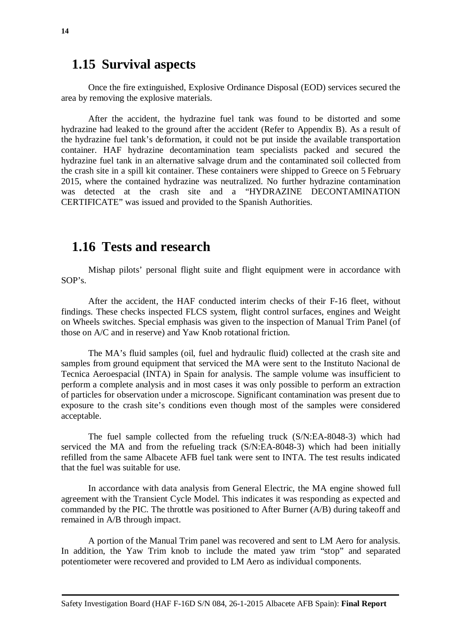### <span id="page-13-0"></span>**1.15 Survival aspects**

Once the fire extinguished, Explosive Ordinance Disposal (EOD) services secured the area by removing the explosive materials.

After the accident, the hydrazine fuel tank was found to be distorted and some hydrazine had leaked to the ground after the accident (Refer to Appendix B). As a result of the hydrazine fuel tank's deformation, it could not be put inside the available transportation container. HAF hydrazine decontamination team specialists packed and secured the hydrazine fuel tank in an alternative salvage drum and the contaminated soil collected from the crash site in a spill kit container. These containers were shipped to Greece on 5 February 2015, where the contained hydrazine was neutralized. No further hydrazine contamination was detected at the crash site and a "HYDRAZINE DECONTAMINATION CERTIFICATE" was issued and provided to the Spanish Authorities.

### <span id="page-13-1"></span>**1.16 Tests and research**

Mishap pilots' personal flight suite and flight equipment were in accordance with  $SOP's$ .

After the accident, the HAF conducted interim checks of their F-16 fleet, without findings. These checks inspected FLCS system, flight control surfaces, engines and Weight on Wheels switches. Special emphasis was given to the inspection of Manual Trim Panel (of those on A/C and in reserve) and Yaw Knob rotational friction.

The MA's fluid samples (oil, fuel and hydraulic fluid) collected at the crash site and samples from ground equipment that serviced the MA were sent to the Instituto Nacional de Tecnica Aeroespacial (INTA) in Spain for analysis. The sample volume was insufficient to perform a complete analysis and in most cases it was only possible to perform an extraction of particles for observation under a microscope. Significant contamination was present due to exposure to the crash site's conditions even though most of the samples were considered acceptable.

The fuel sample collected from the refueling truck (S/N:EA-8048-3) which had serviced the MA and from the refueling track (S/N:EA-8048-3) which had been initially refilled from the same Albacete AFB fuel tank were sent to INTA. The test results indicated that the fuel was suitable for use.

In accordance with data analysis from General Electric, the MA engine showed full agreement with the Transient Cycle Model. This indicates it was responding as expected and commanded by the PIC. The throttle was positioned to After Burner (A/B) during takeoff and remained in A/B through impact.

<span id="page-13-2"></span>A portion of the Manual Trim panel was recovered and sent to LM Aero for analysis. In addition, the Yaw Trim knob to include the mated yaw trim "stop" and separated potentiometer were recovered and provided to LM Aero as individual components.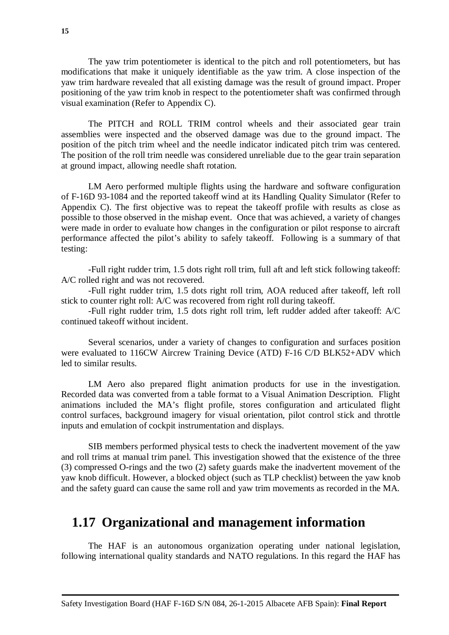The yaw trim potentiometer is identical to the pitch and roll potentiometers, but has modifications that make it uniquely identifiable as the yaw trim. A close inspection of the yaw trim hardware revealed that all existing damage was the result of ground impact. Proper positioning of the yaw trim knob in respect to the potentiometer shaft was confirmed through visual examination (Refer to Appendix C).

The PITCH and ROLL TRIM control wheels and their associated gear train assemblies were inspected and the observed damage was due to the ground impact. The position of the pitch trim wheel and the needle indicator indicated pitch trim was centered. The position of the roll trim needle was considered unreliable due to the gear train separation at ground impact, allowing needle shaft rotation.

LM Aero performed multiple flights using the hardware and software configuration of F-16D 93-1084 and the reported takeoff wind at its Handling Quality Simulator (Refer to Appendix C). The first objective was to repeat the takeoff profile with results as close as possible to those observed in the mishap event. Once that was achieved, a variety of changes were made in order to evaluate how changes in the configuration or pilot response to aircraft performance affected the pilot's ability to safely takeoff. Following is a summary of that testing:

-Full right rudder trim, 1.5 dots right roll trim, full aft and left stick following takeoff: A/C rolled right and was not recovered.

-Full right rudder trim, 1.5 dots right roll trim, AOA reduced after takeoff, left roll stick to counter right roll: A/C was recovered from right roll during takeoff.

-Full right rudder trim, 1.5 dots right roll trim, left rudder added after takeoff: A/C continued takeoff without incident.

Several scenarios, under a variety of changes to configuration and surfaces position were evaluated to 116CW Aircrew Training Device (ATD) F-16 C/D BLK52+ADV which led to similar results.

LM Aero also prepared flight animation products for use in the investigation. Recorded data was converted from a table format to a Visual Animation Description. Flight animations included the MA's flight profile, stores configuration and articulated flight control surfaces, background imagery for visual orientation, pilot control stick and throttle inputs and emulation of cockpit instrumentation and displays.

SIB members performed physical tests to check the inadvertent movement of the yaw and roll trims at manual trim panel. This investigation showed that the existence of the three (3) compressed O-rings and the two (2) safety guards make the inadvertent movement of the yaw knob difficult. However, a blocked object (such as TLP checklist) between the yaw knob and the safety guard can cause the same roll and yaw trim movements as recorded in the MA.

### <span id="page-14-0"></span>**1.17 Organizational and management information**

The HAF is an autonomous organization operating under national legislation, following international quality standards and NATO regulations. In this regard the HAF has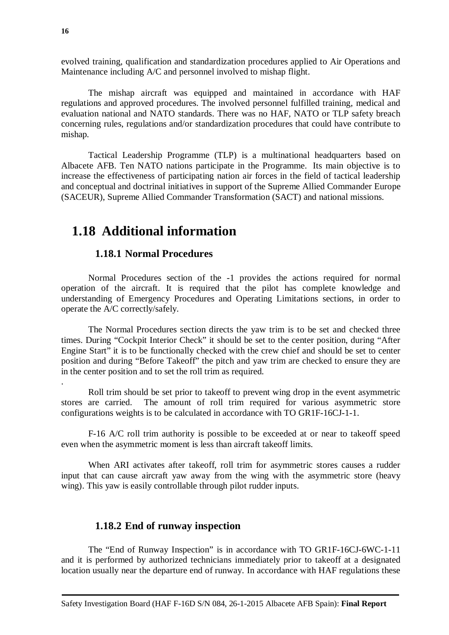evolved training, qualification and standardization procedures applied to Air Operations and Maintenance including A/C and personnel involved to mishap flight.

The mishap aircraft was equipped and maintained in accordance with HAF regulations and approved procedures. The involved personnel fulfilled training, medical and evaluation national and NATO standards. There was no HAF, NATO or TLP safety breach concerning rules, regulations and/or standardization procedures that could have contribute to mishap.

Tactical Leadership Programme (TLP) is a multinational headquarters based on Albacete AFB. Ten NATO nations participate in the Programme. Its main objective is to increase the effectiveness of participating nation air forces in the field of tactical leadership and conceptual and doctrinal initiatives in support of the Supreme Allied Commander Europe (SACEUR), Supreme Allied Commander Transformation (SACT) and national missions.

### <span id="page-15-0"></span>**1.18 Additional information**

#### <span id="page-15-1"></span>**1.18.1 Normal Procedures**

Normal Procedures section of the -1 provides the actions required for normal operation of the aircraft. It is required that the pilot has complete knowledge and understanding of Emergency Procedures and Operating Limitations sections, in order to operate the A/C correctly/safely.

The Normal Procedures section directs the yaw trim is to be set and checked three times. During "Cockpit Interior Check" it should be set to the center position, during "After Engine Start" it is to be functionally checked with the crew chief and should be set to center position and during "Before Takeoff" the pitch and yaw trim are checked to ensure they are in the center position and to set the roll trim as required.

Roll trim should be set prior to takeoff to prevent wing drop in the event asymmetric stores are carried. The amount of roll trim required for various asymmetric store configurations weights is to be calculated in accordance with TO GR1F-16CJ-1-1.

F-16 A/C roll trim authority is possible to be exceeded at or near to takeoff speed even when the asymmetric moment is less than aircraft takeoff limits.

When ARI activates after takeoff, roll trim for asymmetric stores causes a rudder input that can cause aircraft yaw away from the wing with the asymmetric store (heavy wing). This yaw is easily controllable through pilot rudder inputs.

#### <span id="page-15-2"></span>**1.18.2 End of runway inspection**

The "End of Runway Inspection" is in accordance with TO GR1F-16CJ-6WC-1-11 and it is performed by authorized technicians immediately prior to takeoff at a designated location usually near the departure end of runway. In accordance with HAF regulations these

.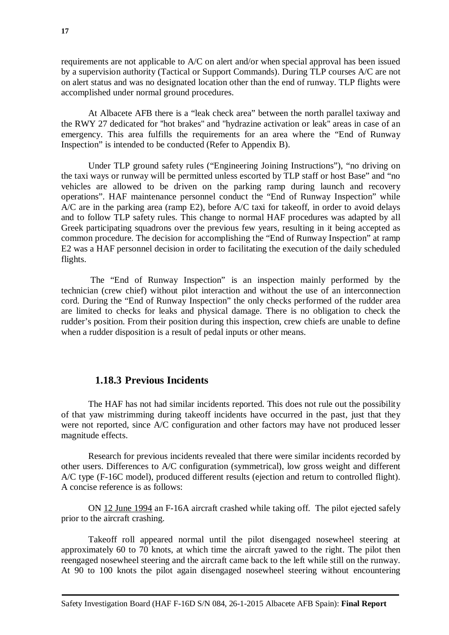requirements are not applicable to A/C on alert and/or when special approval has been issued by a supervision authority (Tactical or Support Commands). During TLP courses A/C are not on alert status and was no designated location other than the end of runway. TLP flights were accomplished under normal ground procedures.

At Albacete AFB there is a "leak check area" between the north parallel taxiway and the RWY 27 dedicated for ''hot brakes'' and ''hydrazine activation or leak'' areas in case of an emergency. This area fulfills the requirements for an area where the "End of Runway Inspection" is intended to be conducted (Refer to Appendix B).

Under TLP ground safety rules ("Engineering Joining Instructions"), "no driving on the taxi ways or runway will be permitted unless escorted by TLP staff or host Base" and "no vehicles are allowed to be driven on the parking ramp during launch and recovery operations". HAF maintenance personnel conduct the "End of Runway Inspection" while A/C are in the parking area (ramp E2), before A/C taxi for takeoff, in order to avoid delays and to follow TLP safety rules. This change to normal HAF procedures was adapted by all Greek participating squadrons over the previous few years, resulting in it being accepted as common procedure. The decision for accomplishing the "End of Runway Inspection" at ramp E2 was a HAF personnel decision in order to facilitating the execution of the daily scheduled flights.

The "End of Runway Inspection" is an inspection mainly performed by the technician (crew chief) without pilot interaction and without the use of an interconnection cord. During the "End of Runway Inspection" the only checks performed of the rudder area are limited to checks for leaks and physical damage. There is no obligation to check the rudder's position. From their position during this inspection, crew chiefs are unable to define when a rudder disposition is a result of pedal inputs or other means.

#### <span id="page-16-0"></span>**1.18.3 Previous Incidents**

The HAF has not had similar incidents reported. This does not rule out the possibility of that yaw mistrimming during takeoff incidents have occurred in the past, just that they were not reported, since A/C configuration and other factors may have not produced lesser magnitude effects.

Research for previous incidents revealed that there were similar incidents recorded by other users. Differences to A/C configuration (symmetrical), low gross weight and different A/C type (F-16C model), produced different results (ejection and return to controlled flight). A concise reference is as follows:

ON 12 June 1994 an F-16A aircraft crashed while taking off. The pilot ejected safely prior to the aircraft crashing.

Takeoff roll appeared normal until the pilot disengaged nosewheel steering at approximately 60 to 70 knots, at which time the aircraft yawed to the right. The pilot then reengaged nosewheel steering and the aircraft came back to the left while still on the runway. At 90 to 100 knots the pilot again disengaged nosewheel steering without encountering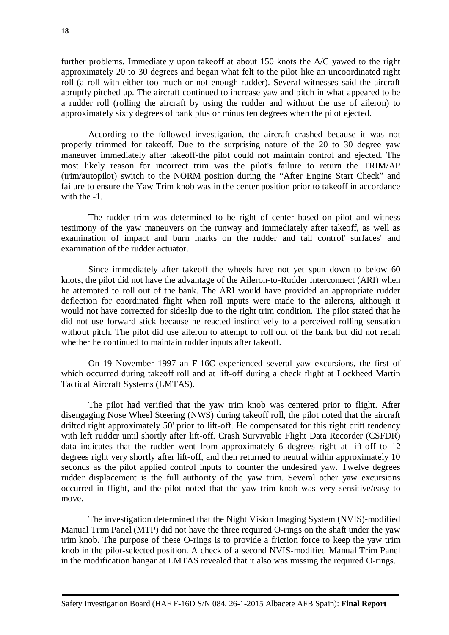further problems. Immediately upon takeoff at about 150 knots the A/C yawed to the right approximately 20 to 30 degrees and began what felt to the pilot like an uncoordinated right roll (a roll with either too much or not enough rudder). Several witnesses said the aircraft abruptly pitched up. The aircraft continued to increase yaw and pitch in what appeared to be a rudder roll (rolling the aircraft by using the rudder and without the use of aileron) to approximately sixty degrees of bank plus or minus ten degrees when the pilot ejected.

According to the followed investigation, the aircraft crashed because it was not properly trimmed for takeoff. Due to the surprising nature of the 20 to 30 degree yaw maneuver immediately after takeoff-the pilot could not maintain control and ejected. The most likely reason for incorrect trim was the pilot's failure to return the TRIM/AP (trim/autopilot) switch to the NORM position during the "After Engine Start Check" and failure to ensure the Yaw Trim knob was in the center position prior to takeoff in accordance with the  $-1$ .

The rudder trim was determined to be right of center based on pilot and witness testimony of the yaw maneuvers on the runway and immediately after takeoff, as well as examination of impact and burn marks on the rudder and tail control' surfaces' and examination of the rudder actuator.

Since immediately after takeoff the wheels have not yet spun down to below 60 knots, the pilot did not have the advantage of the Aileron-to-Rudder Interconnect (ARI) when he attempted to roll out of the bank. The ARI would have provided an appropriate rudder deflection for coordinated flight when roll inputs were made to the ailerons, although it would not have corrected for sideslip due to the right trim condition. The pilot stated that he did not use forward stick because he reacted instinctively to a perceived rolling sensation without pitch. The pilot did use aileron to attempt to roll out of the bank but did not recall whether he continued to maintain rudder inputs after takeoff.

On 19 November 1997 an F-16C experienced several yaw excursions, the first of which occurred during takeoff roll and at lift-off during a check flight at Lockheed Martin Tactical Aircraft Systems (LMTAS).

The pilot had verified that the yaw trim knob was centered prior to flight. After disengaging Nose Wheel Steering (NWS) during takeoff roll, the pilot noted that the aircraft drifted right approximately 50' prior to lift-off. He compensated for this right drift tendency with left rudder until shortly after lift-off. Crash Survivable Flight Data Recorder (CSFDR) data indicates that the rudder went from approximately 6 degrees right at lift-off to 12 degrees right very shortly after lift-off, and then returned to neutral within approximately 10 seconds as the pilot applied control inputs to counter the undesired yaw. Twelve degrees rudder displacement is the full authority of the yaw trim. Several other yaw excursions occurred in flight, and the pilot noted that the yaw trim knob was very sensitive/easy to move.

The investigation determined that the Night Vision Imaging System (NVIS)-modified Manual Trim Panel (MTP) did not have the three required O-rings on the shaft under the yaw trim knob. The purpose of these O-rings is to provide a friction force to keep the yaw trim knob in the pilot-selected position. A check of a second NVIS-modified Manual Trim Panel in the modification hangar at LMTAS revealed that it also was missing the required O-rings.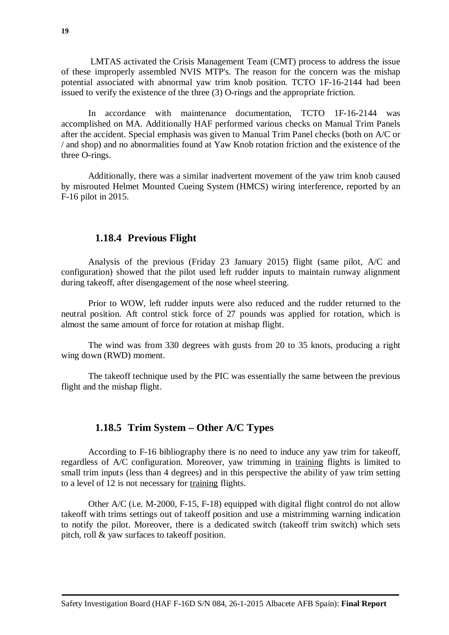LMTAS activated the Crisis Management Team (CMT) process to address the issue of these improperly assembled NVIS MTP's. The reason for the concern was the mishap potential associated with abnormal yaw trim knob position. TCTO 1F-16-2144 had been issued to verify the existence of the three (3) O-rings and the appropriate friction.

In accordance with maintenance documentation, TCTO 1F-16-2144 was accomplished on MA. Additionally HAF performed various checks on Manual Trim Panels after the accident. Special emphasis was given to Manual Trim Panel checks (both on A/C or / and shop) and no abnormalities found at Yaw Knob rotation friction and the existence of the three O-rings.

Additionally, there was a similar inadvertent movement of the yaw trim knob caused by misrouted Helmet Mounted Cueing System (HMCS) wiring interference, reported by an F-16 pilot in 2015.

#### <span id="page-18-0"></span>**1.18.4 Previous Flight**

Analysis of the previous (Friday 23 January 2015) flight (same pilot, A/C and configuration) showed that the pilot used left rudder inputs to maintain runway alignment during takeoff, after disengagement of the nose wheel steering.

Prior to WOW, left rudder inputs were also reduced and the rudder returned to the neutral position. Aft control stick force of 27 pounds was applied for rotation, which is almost the same amount of force for rotation at mishap flight.

The wind was from 330 degrees with gusts from 20 to 35 knots, producing a right wing down (RWD) moment.

The takeoff technique used by the PIC was essentially the same between the previous flight and the mishap flight.

#### <span id="page-18-1"></span>**1.18.5 Trim System – Other A/C Types**

According to F-16 bibliography there is no need to induce any yaw trim for takeoff, regardless of A/C configuration. Moreover, yaw trimming in training flights is limited to small trim inputs (less than 4 degrees) and in this perspective the ability of yaw trim setting to a level of 12 is not necessary for training flights.

Other A/C (i.e. M-2000, F-15, F-18) equipped with digital flight control do not allow takeoff with trims settings out of takeoff position and use a mistrimming warning indication to notify the pilot. Moreover, there is a dedicated switch (takeoff trim switch) which sets pitch, roll & yaw surfaces to takeoff position.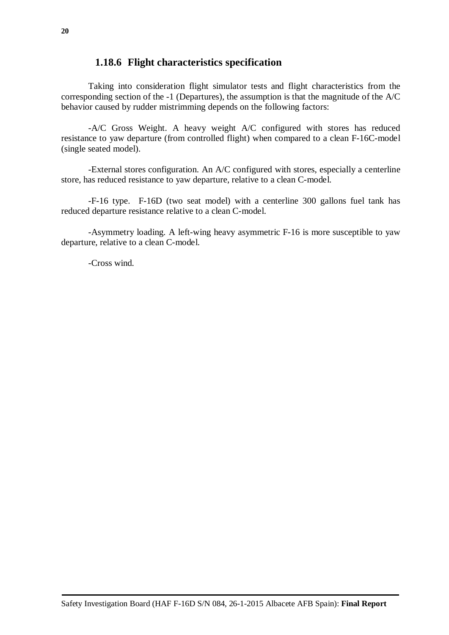#### <span id="page-19-0"></span>**1.18.6 Flight characteristics specification**

Taking into consideration flight simulator tests and flight characteristics from the corresponding section of the -1 (Departures), the assumption is that the magnitude of the A/C behavior caused by rudder mistrimming depends on the following factors:

-A/C Gross Weight. A heavy weight A/C configured with stores has reduced resistance to yaw departure (from controlled flight) when compared to a clean F-16C-model (single seated model).

-External stores configuration. An A/C configured with stores, especially a centerline store, has reduced resistance to yaw departure, relative to a clean C-model.

-F-16 type. F-16D (two seat model) with a centerline 300 gallons fuel tank has reduced departure resistance relative to a clean C-model.

-Asymmetry loading. A left-wing heavy asymmetric F-16 is more susceptible to yaw departure, relative to a clean C-model.

-Cross wind.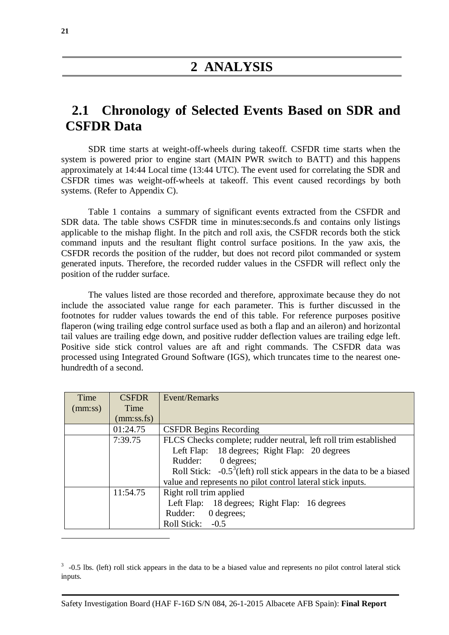# <span id="page-20-1"></span><span id="page-20-0"></span>**2.1 Chronology of Selected Events Based on SDR and CSFDR Data**

SDR time starts at weight-off-wheels during takeoff. CSFDR time starts when the system is powered prior to engine start (MAIN PWR switch to BATT) and this happens approximately at 14:44 Local time (13:44 UTC). The event used for correlating the SDR and CSFDR times was weight-off-wheels at takeoff. This event caused recordings by both systems. (Refer to Appendix C).

Table 1 contains a summary of significant events extracted from the CSFDR and SDR data. The table shows CSFDR time in minutes:seconds.fs and contains only listings applicable to the mishap flight. In the pitch and roll axis, the CSFDR records both the stick command inputs and the resultant flight control surface positions. In the yaw axis, the CSFDR records the position of the rudder, but does not record pilot commanded or system generated inputs. Therefore, the recorded rudder values in the CSFDR will reflect only the position of the rudder surface.

The values listed are those recorded and therefore, approximate because they do not include the associated value range for each parameter. This is further discussed in the footnotes for rudder values towards the end of this table. For reference purposes positive flaperon (wing trailing edge control surface used as both a flap and an aileron) and horizontal tail values are trailing edge down, and positive rudder deflection values are trailing edge left. Positive side stick control values are aft and right commands. The CSFDR data was processed using Integrated Ground Software (IGS), which truncates time to the nearest onehundredth of a second.

| Time    | <b>CSFDR</b> | Event/Remarks                                                             |
|---------|--------------|---------------------------------------------------------------------------|
| (mm:ss) | Time         |                                                                           |
|         | (mm:ss,fs)   |                                                                           |
|         | 01:24.75     | <b>CSFDR Begins Recording</b>                                             |
|         | 7:39.75      | FLCS Checks complete; rudder neutral, left roll trim established          |
|         |              | Left Flap: 18 degrees; Right Flap: 20 degrees                             |
|         |              | Rudder:<br>0 degrees;                                                     |
|         |              | Roll Stick: $-0.5^3$ (left) roll stick appears in the data to be a biased |
|         |              | value and represents no pilot control lateral stick inputs.               |
|         | 11:54.75     | Right roll trim applied                                                   |
|         |              | Left Flap: 18 degrees; Right Flap: 16 degrees                             |
|         |              | 0 degrees;<br>Rudder:                                                     |
|         |              | Roll Stick: -0.5                                                          |

 $3$  -0.5 lbs. (left) roll stick appears in the data to be a biased value and represents no pilot control lateral stick inputs.

 $\overline{a}$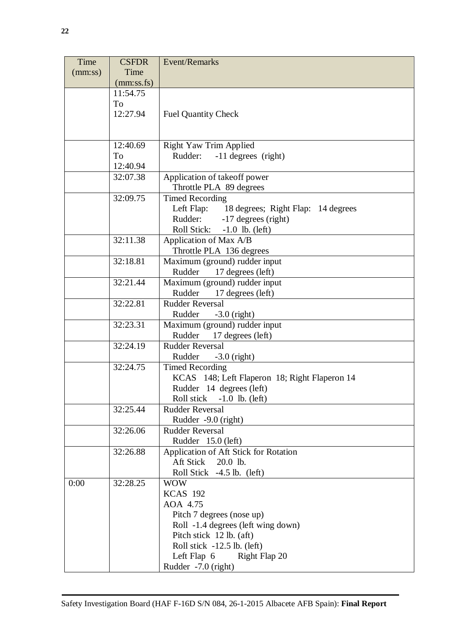| Time                                                                      | <b>CSFDR</b>                       | <b>Event/Remarks</b>                                                    |  |
|---------------------------------------------------------------------------|------------------------------------|-------------------------------------------------------------------------|--|
| (mm:ss)                                                                   | Time                               |                                                                         |  |
|                                                                           | (mm:ss.fs)                         |                                                                         |  |
|                                                                           | 11:54.75                           |                                                                         |  |
|                                                                           | To                                 |                                                                         |  |
|                                                                           | 12:27.94                           | <b>Fuel Quantity Check</b>                                              |  |
|                                                                           |                                    |                                                                         |  |
|                                                                           |                                    |                                                                         |  |
|                                                                           | 12:40.69                           | <b>Right Yaw Trim Applied</b>                                           |  |
|                                                                           | To                                 | Rudder:<br>-11 degrees (right)                                          |  |
|                                                                           | 12:40.94                           |                                                                         |  |
|                                                                           | 32:07.38                           | Application of takeoff power                                            |  |
|                                                                           |                                    | Throttle PLA 89 degrees                                                 |  |
|                                                                           | <b>Timed Recording</b><br>32:09.75 |                                                                         |  |
|                                                                           |                                    | Left Flap: 18 degrees; Right Flap: 14 degrees                           |  |
|                                                                           |                                    | Rudder:<br>-17 degrees (right)                                          |  |
|                                                                           |                                    | <b>Roll Stick:</b><br>$-1.0$ lb. (left)                                 |  |
|                                                                           | 32:11.38                           | Application of Max A/B                                                  |  |
|                                                                           |                                    | Throttle PLA 136 degrees                                                |  |
| Maximum (ground) rudder input<br>32:18.81                                 |                                    |                                                                         |  |
| 17 degrees (left)<br>Rudder                                               |                                    |                                                                         |  |
|                                                                           | 32:21.44                           | Maximum (ground) rudder input                                           |  |
|                                                                           |                                    | Rudder<br>17 degrees (left)                                             |  |
|                                                                           | 32:22.81                           | <b>Rudder Reversal</b>                                                  |  |
|                                                                           |                                    | Rudder<br>$-3.0$ (right)                                                |  |
|                                                                           | 32:23.31                           | Maximum (ground) rudder input                                           |  |
|                                                                           |                                    | Rudder<br>17 degrees (left)                                             |  |
|                                                                           | 32:24.19                           | <b>Rudder Reversal</b>                                                  |  |
|                                                                           |                                    | Rudder<br>$-3.0$ (right)                                                |  |
|                                                                           | 32:24.75                           | <b>Timed Recording</b>                                                  |  |
| KCAS 148; Left Flaperon 18; Right Flaperon 14<br>Rudder 14 degrees (left) |                                    |                                                                         |  |
|                                                                           |                                    |                                                                         |  |
|                                                                           |                                    | Roll stick<br>$-1.0$ lb. (left)                                         |  |
|                                                                           | 32:25.44                           | <b>Rudder Reversal</b><br>Rudder -9.0 (right)<br><b>Rudder Reversal</b> |  |
|                                                                           |                                    |                                                                         |  |
|                                                                           | 32:26.06                           |                                                                         |  |
|                                                                           | 32:26.88                           | Rudder 15.0 (left)<br>Application of Aft Stick for Rotation             |  |
|                                                                           |                                    | Aft Stick<br>20.0 lb.                                                   |  |
|                                                                           |                                    | Roll Stick -4.5 lb. (left)                                              |  |
| 0:00                                                                      | 32:28.25                           | <b>WOW</b>                                                              |  |
|                                                                           |                                    | <b>KCAS 192</b>                                                         |  |
|                                                                           |                                    | AOA 4.75                                                                |  |
|                                                                           |                                    | Pitch 7 degrees (nose up)                                               |  |
|                                                                           |                                    | Roll -1.4 degrees (left wing down)                                      |  |
|                                                                           |                                    | Pitch stick 12 lb. (aft)                                                |  |
|                                                                           |                                    | Roll stick $-12.5$ lb. (left)                                           |  |
|                                                                           |                                    | Left Flap $6$<br>Right Flap 20                                          |  |
|                                                                           |                                    | Rudder -7.0 (right)                                                     |  |
|                                                                           |                                    |                                                                         |  |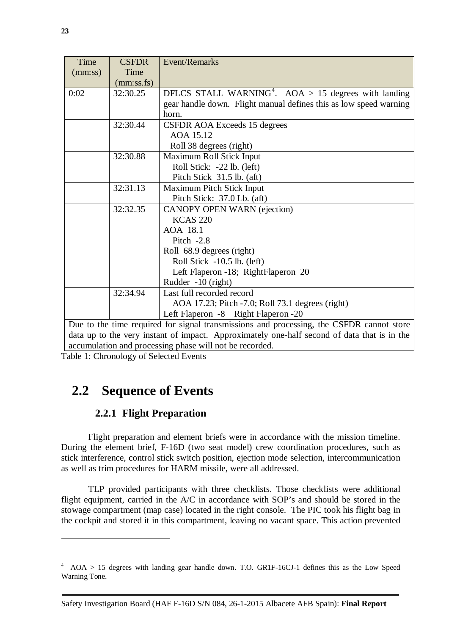| Time    | <b>CSFDR</b> | <b>Event/Remarks</b>                                                                     |  |
|---------|--------------|------------------------------------------------------------------------------------------|--|
| (mm:ss) | Time         |                                                                                          |  |
|         | (mm:ss.fs)   |                                                                                          |  |
| 0:02    | 32:30.25     | DFLCS STALL WARNING <sup>4</sup> . AOA > 15 degrees with landing                         |  |
|         |              | gear handle down. Flight manual defines this as low speed warning                        |  |
|         |              | horn.                                                                                    |  |
|         | 32:30.44     | CSFDR AOA Exceeds 15 degrees                                                             |  |
|         |              | AOA 15.12                                                                                |  |
|         |              | Roll 38 degrees (right)                                                                  |  |
|         | 32:30.88     | Maximum Roll Stick Input                                                                 |  |
|         |              | Roll Stick: -22 lb. (left)                                                               |  |
|         |              | Pitch Stick 31.5 lb. (aft)                                                               |  |
|         | 32:31.13     | <b>Maximum Pitch Stick Input</b>                                                         |  |
|         |              | Pitch Stick: 37.0 Lb. (aft)                                                              |  |
|         | 32:32.35     | <b>CANOPY OPEN WARN (ejection)</b>                                                       |  |
|         |              | <b>KCAS 220</b>                                                                          |  |
|         |              | AOA 18.1                                                                                 |  |
|         | Pitch $-2.8$ |                                                                                          |  |
|         |              | Roll 68.9 degrees (right)                                                                |  |
|         |              | Roll Stick $-10.5$ lb. (left)                                                            |  |
|         |              | Left Flaperon -18; RightFlaperon 20                                                      |  |
|         |              | Rudder -10 (right)                                                                       |  |
|         | 32:34.94     | Last full recorded record                                                                |  |
|         |              | AOA 17.23; Pitch -7.0; Roll 73.1 degrees (right)                                         |  |
|         |              | Left Flaperon -8 Right Flaperon -20                                                      |  |
|         |              | Due to the time required for signal transmissions and processing, the CSFDR cannot store |  |

data up to the very instant of impact. Approximately one-half second of data that is in the accumulation and processing phase will not be recorded.

Table 1: Chronology of Selected Events

# <span id="page-22-1"></span><span id="page-22-0"></span>**2.2 Sequence of Events**

### **2.2.1 Flight Preparation**

Flight preparation and element briefs were in accordance with the mission timeline. During the element brief, F-16D (two seat model) crew coordination procedures, such as stick interference, control stick switch position, ejection mode selection, intercommunication as well as trim procedures for HARM missile, were all addressed.

TLP provided participants with three checklists. Those checklists were additional flight equipment, carried in the A/C in accordance with SOP's and should be stored in the stowage compartment (map case) located in the right console. The PIC took his flight bag in the cockpit and stored it in this compartment, leaving no vacant space. This action prevented

 $\overline{a}$ 

<sup>&</sup>lt;sup>4</sup> AOA > 15 degrees with landing gear handle down. T.O. GR1F-16CJ-1 defines this as the Low Speed Warning Tone.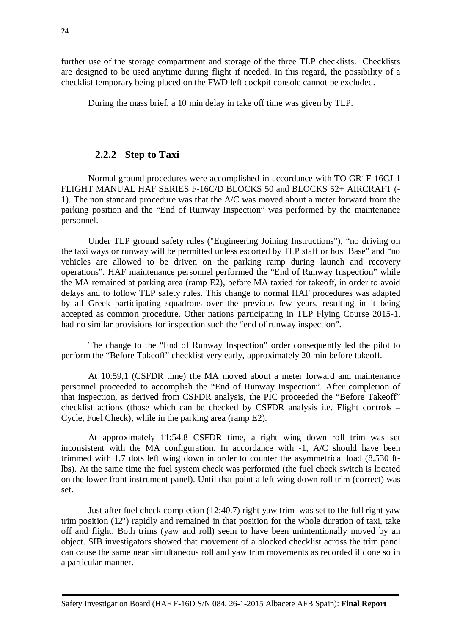further use of the storage compartment and storage of the three TLP checklists. Checklists are designed to be used anytime during flight if needed. In this regard, the possibility of a checklist temporary being placed on the FWD left cockpit console cannot be excluded.

During the mass brief, a 10 min delay in take off time was given by TLP.

### <span id="page-23-0"></span>**2.2.2 Step to Taxi**

Normal ground procedures were accomplished in accordance with TO GR1F-16CJ-1 FLIGHT MANUAL HAF SERIES F-16C/D BLOCKS 50 and BLOCKS 52+ AIRCRAFT (- 1). The non standard procedure was that the A/C was moved about a meter forward from the parking position and the "End of Runway Inspection" was performed by the maintenance personnel.

Under TLP ground safety rules ("Engineering Joining Instructions"), "no driving on the taxi ways or runway will be permitted unless escorted by TLP staff or host Base" and "no vehicles are allowed to be driven on the parking ramp during launch and recovery operations". HAF maintenance personnel performed the "End of Runway Inspection" while the MA remained at parking area (ramp E2), before MA taxied for takeoff, in order to avoid delays and to follow TLP safety rules. This change to normal HAF procedures was adapted by all Greek participating squadrons over the previous few years, resulting in it being accepted as common procedure. Other nations participating in TLP Flying Course 2015-1, had no similar provisions for inspection such the "end of runway inspection".

The change to the "End of Runway Inspection" order consequently led the pilot to perform the "Before Takeoff" checklist very early, approximately 20 min before takeoff.

At 10:59,1 (CSFDR time) the MA moved about a meter forward and maintenance personnel proceeded to accomplish the "End of Runway Inspection". After completion of that inspection, as derived from CSFDR analysis, the PIC proceeded the "Before Takeoff" checklist actions (those which can be checked by CSFDR analysis i.e. Flight controls – Cycle, Fuel Check), while in the parking area (ramp E2).

At approximately 11:54.8 CSFDR time, a right wing down roll trim was set inconsistent with the MA configuration. In accordance with -1, A/C should have been trimmed with 1,7 dots left wing down in order to counter the asymmetrical load (8,530 ftlbs). At the same time the fuel system check was performed (the fuel check switch is located on the lower front instrument panel). Until that point a left wing down roll trim (correct) was set.

Just after fuel check completion (12:40.7) right yaw trim was set to the full right yaw trim position (12º) rapidly and remained in that position for the whole duration of taxi, take off and flight. Both trims (yaw and roll) seem to have been unintentionally moved by an object. SIB investigators showed that movement of a blocked checklist across the trim panel can cause the same near simultaneous roll and yaw trim movements as recorded if done so in a particular manner.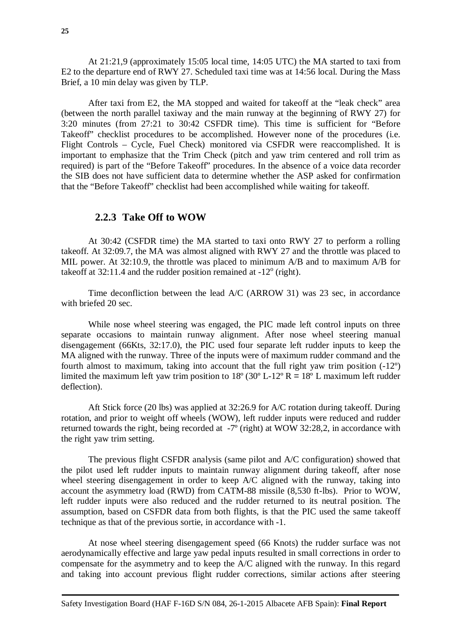At 21:21,9 (approximately 15:05 local time, 14:05 UTC) the MA started to taxi from E2 to the departure end of RWY 27. Scheduled taxi time was at 14:56 local. During the Mass Brief, a 10 min delay was given by TLP.

After taxi from E2, the MA stopped and waited for takeoff at the "leak check" area (between the north parallel taxiway and the main runway at the beginning of RWY 27) for 3:20 minutes (from 27:21 to 30:42 CSFDR time). This time is sufficient for "Before Takeoff" checklist procedures to be accomplished. However none of the procedures (i.e. Flight Controls – Cycle, Fuel Check) monitored via CSFDR were reaccomplished. It is important to emphasize that the Trim Check (pitch and yaw trim centered and roll trim as required) is part of the "Before Takeoff" procedures. In the absence of a voice data recorder the SIB does not have sufficient data to determine whether the ASP asked for confirmation that the "Before Takeoff" checklist had been accomplished while waiting for takeoff.

#### **2.2.3 Take Off to WOW**

<span id="page-24-0"></span>At 30:42 (CSFDR time) the MA started to taxi onto RWY 27 to perform a rolling takeoff. At 32:09.7, the MA was almost aligned with RWY 27 and the throttle was placed to MIL power. At 32:10.9, the throttle was placed to minimum A/B and to maximum A/B for takeoff at  $32:11.4$  and the rudder position remained at  $-12^{\circ}$  (right).

Time deconfliction between the lead A/C (ARROW 31) was 23 sec, in accordance with briefed 20 sec.

While nose wheel steering was engaged, the PIC made left control inputs on three separate occasions to maintain runway alignment. After nose wheel steering manual disengagement (66Kts, 32:17.0), the PIC used four separate left rudder inputs to keep the MA aligned with the runway. Three of the inputs were of maximum rudder command and the fourth almost to maximum, taking into account that the full right yaw trim position (-12º) limited the maximum left yaw trim position to  $18^{\circ}$  (30° L-12° R =  $18^{\circ}$  L maximum left rudder deflection).

Aft Stick force (20 lbs) was applied at 32:26.9 for A/C rotation during takeoff. During rotation, and prior to weight off wheels (WOW), left rudder inputs were reduced and rudder returned towards the right, being recorded at -7º (right) at WOW 32:28,2, in accordance with the right yaw trim setting.

The previous flight CSFDR analysis (same pilot and A/C configuration) showed that the pilot used left rudder inputs to maintain runway alignment during takeoff, after nose wheel steering disengagement in order to keep A/C aligned with the runway, taking into account the asymmetry load (RWD) from CATM-88 missile (8,530 ft-lbs). Prior to WOW, left rudder inputs were also reduced and the rudder returned to its neutral position. The assumption, based on CSFDR data from both flights, is that the PIC used the same takeoff technique as that of the previous sortie, in accordance with -1.

At nose wheel steering disengagement speed (66 Knots) the rudder surface was not aerodynamically effective and large yaw pedal inputs resulted in small corrections in order to compensate for the asymmetry and to keep the A/C aligned with the runway. In this regard and taking into account previous flight rudder corrections, similar actions after steering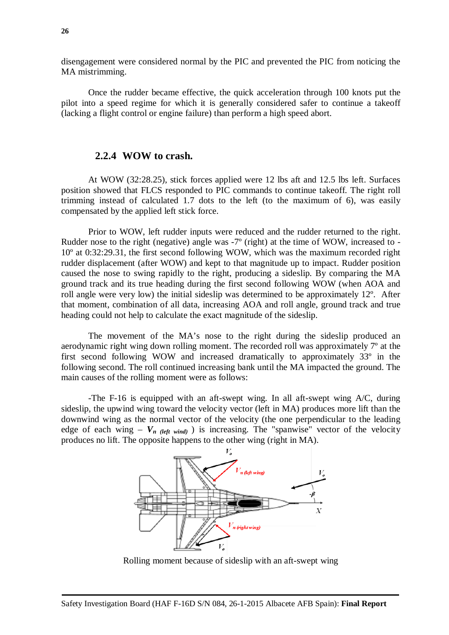disengagement were considered normal by the PIC and prevented the PIC from noticing the MA mistrimming.

Once the rudder became effective, the quick acceleration through 100 knots put the pilot into a speed regime for which it is generally considered safer to continue a takeoff (lacking a flight control or engine failure) than perform a high speed abort.

#### **2.2.4 WOW to crash.**

<span id="page-25-0"></span>At WOW (32:28.25), stick forces applied were 12 lbs aft and 12.5 lbs left. Surfaces position showed that FLCS responded to PIC commands to continue takeoff. The right roll trimming instead of calculated 1.7 dots to the left (to the maximum of 6), was easily compensated by the applied left stick force.

Prior to WOW, left rudder inputs were reduced and the rudder returned to the right. Rudder nose to the right (negative) angle was -7º (right) at the time of WOW, increased to - 10º at 0:32:29.31, the first second following WOW, which was the maximum recorded right rudder displacement (after WOW) and kept to that magnitude up to impact. Rudder position caused the nose to swing rapidly to the right, producing a sideslip. By comparing the MA ground track and its true heading during the first second following WOW (when AOA and roll angle were very low) the initial sideslip was determined to be approximately 12º. After that moment, combination of all data, increasing AOA and roll angle, ground track and true heading could not help to calculate the exact magnitude of the sideslip.

The movement of the MA's nose to the right during the sideslip produced an aerodynamic right wing down rolling moment. The recorded roll was approximately 7º at the first second following WOW and increased dramatically to approximately 33º in the following second. The roll continued increasing bank until the MA impacted the ground. The main causes of the rolling moment were as follows:

-The F-16 is equipped with an aft-swept wing. In all aft-swept wing A/C, during sideslip, the upwind wing toward the velocity vector (left in MA) produces more lift than the downwind wing as the normal vector of the velocity (the one perpendicular to the leading edge of each wing –  $V_n$  (left wind) is increasing. The "spanwise" vector of the velocity produces no lift. The opposite happens to the other wing (right in MA).



Rolling moment because of sideslip with an aft-swept wing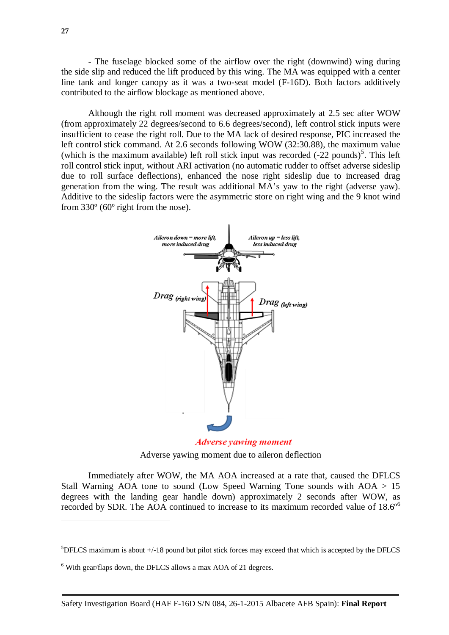- The fuselage blocked some of the airflow over the right (downwind) wing during the side slip and reduced the lift produced by this wing. The MA was equipped with a center line tank and longer canopy as it was a two-seat model (F-16D). Both factors additively contributed to the airflow blockage as mentioned above.

Although the right roll moment was decreased approximately at 2.5 sec after WOW (from approximately 22 degrees/second to 6.6 degrees/second), left control stick inputs were insufficient to cease the right roll. Due to the MA lack of desired response, PIC increased the left control stick command. At 2.6 seconds following WOW (32:30.88), the maximum value (which is the maximum available) left roll stick input was recorded  $(-22 \text{ pounds})^5$  $(-22 \text{ pounds})^5$ . This left roll control stick input, without ARI activation (no automatic rudder to offset adverse sideslip due to roll surface deflections), enhanced the nose right sideslip due to increased drag generation from the wing. The result was additional MA's yaw to the right (adverse yaw). Additive to the sideslip factors were the asymmetric store on right wing and the 9 knot wind from 330º (60º right from the nose).



**Adverse yawing moment** Adverse yawing moment due to aileron deflection

Immediately after WOW, the MA AOA increased at a rate that, caused the DFLCS Stall Warning AOA tone to sound (Low Speed Warning Tone sounds with  $AOA > 15$ ) degrees with the landing gear handle down) approximately 2 seconds after WOW, as recorded by SDR. The AOA continued to increase to its maximum recorded value of  $18.6^{\circ}$  $18.6^{\circ}$  $18.6^{\circ}$ 

 $\overline{a}$ 

 ${}^{5}$ DFLCS maximum is about  $+/-18$  pound but pilot stick forces may exceed that which is accepted by the DFLCS

<sup>&</sup>lt;sup>6</sup> With gear/flaps down, the DFLCS allows a max AOA of 21 degrees.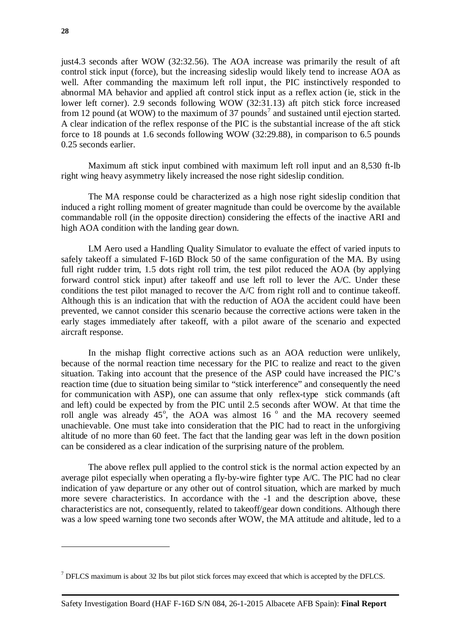just4.3 seconds after WOW (32:32.56). The AOA increase was primarily the result of aft control stick input (force), but the increasing sideslip would likely tend to increase AOA as well. After commanding the maximum left roll input, the PIC instinctively responded to abnormal MA behavior and applied aft control stick input as a reflex action (ie, stick in the lower left corner). 2.9 seconds following WOW (32:31.13) aft pitch stick force increased from 12 pound (at WOW) to the maximum of 3[7](#page-37-2) pounds<sup>7</sup> and sustained until ejection started. A clear indication of the reflex response of the PIC is the substantial increase of the aft stick force to 18 pounds at 1.6 seconds following WOW (32:29.88), in comparison to 6.5 pounds 0.25 seconds earlier.

Maximum aft stick input combined with maximum left roll input and an 8,530 ft-lb right wing heavy asymmetry likely increased the nose right sideslip condition.

The MA response could be characterized as a high nose right sideslip condition that induced a right rolling moment of greater magnitude than could be overcome by the available commandable roll (in the opposite direction) considering the effects of the inactive ARI and high AOA condition with the landing gear down.

LM Aero used a Handling Quality Simulator to evaluate the effect of varied inputs to safely takeoff a simulated F-16D Block 50 of the same configuration of the MA. By using full right rudder trim, 1.5 dots right roll trim, the test pilot reduced the AOA (by applying forward control stick input) after takeoff and use left roll to lever the A/C. Under these conditions the test pilot managed to recover the A/C from right roll and to continue takeoff. Although this is an indication that with the reduction of AOA the accident could have been prevented, we cannot consider this scenario because the corrective actions were taken in the early stages immediately after takeoff, with a pilot aware of the scenario and expected aircraft response.

In the mishap flight corrective actions such as an AOA reduction were unlikely, because of the normal reaction time necessary for the PIC to realize and react to the given situation. Taking into account that the presence of the ASP could have increased the PIC's reaction time (due to situation being similar to "stick interference" and consequently the need for communication with ASP), one can assume that only reflex-type stick commands (aft and left) could be expected by from the PIC until 2.5 seconds after WOW. At that time the roll angle was already  $45^\circ$ , the AOA was almost 16 $^\circ$  and the MA recovery seemed unachievable. One must take into consideration that the PIC had to react in the unforgiving altitude of no more than 60 feet. The fact that the landing gear was left in the down position can be considered as a clear indication of the surprising nature of the problem.

The above reflex pull applied to the control stick is the normal action expected by an average pilot especially when operating a fly-by-wire fighter type A/C. The PIC had no clear indication of yaw departure or any other out of control situation, which are marked by much more severe characteristics. In accordance with the -1 and the description above, these characteristics are not, consequently, related to takeoff/gear down conditions. Although there was a low speed warning tone two seconds after WOW, the MA attitude and altitude, led to a

 $\overline{a}$ 

 $<sup>7</sup>$  DFLCS maximum is about 32 lbs but pilot stick forces may exceed that which is accepted by the DFLCS.</sup>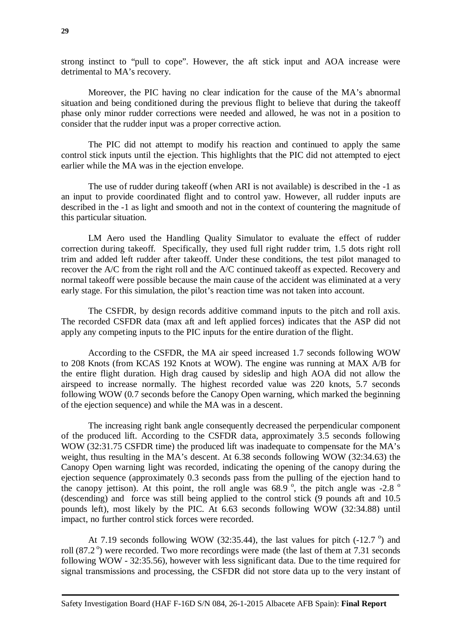strong instinct to "pull to cope". However, the aft stick input and AOA increase were detrimental to MA's recovery.

Moreover, the PIC having no clear indication for the cause of the MA's abnormal situation and being conditioned during the previous flight to believe that during the takeoff phase only minor rudder corrections were needed and allowed, he was not in a position to consider that the rudder input was a proper corrective action.

The PIC did not attempt to modify his reaction and continued to apply the same control stick inputs until the ejection. This highlights that the PIC did not attempted to eject earlier while the MA was in the ejection envelope.

The use of rudder during takeoff (when ARI is not available) is described in the -1 as an input to provide coordinated flight and to control yaw. However, all rudder inputs are described in the -1 as light and smooth and not in the context of countering the magnitude of this particular situation.

LM Aero used the Handling Quality Simulator to evaluate the effect of rudder correction during takeoff. Specifically, they used full right rudder trim, 1.5 dots right roll trim and added left rudder after takeoff. Under these conditions, the test pilot managed to recover the A/C from the right roll and the A/C continued takeoff as expected. Recovery and normal takeoff were possible because the main cause of the accident was eliminated at a very early stage. For this simulation, the pilot's reaction time was not taken into account.

The CSFDR, by design records additive command inputs to the pitch and roll axis. The recorded CSFDR data (max aft and left applied forces) indicates that the ASP did not apply any competing inputs to the PIC inputs for the entire duration of the flight.

According to the CSFDR, the MA air speed increased 1.7 seconds following WOW to 208 Knots (from KCAS 192 Knots at WOW). The engine was running at MAX A/B for the entire flight duration. High drag caused by sideslip and high AOA did not allow the airspeed to increase normally. The highest recorded value was 220 knots, 5.7 seconds following WOW (0.7 seconds before the Canopy Open warning, which marked the beginning of the ejection sequence) and while the MA was in a descent.

The increasing right bank angle consequently decreased the perpendicular component of the produced lift. According to the CSFDR data, approximately 3.5 seconds following WOW (32:31.75 CSFDR time) the produced lift was inadequate to compensate for the MA's weight, thus resulting in the MA's descent. At 6.38 seconds following WOW (32:34.63) the Canopy Open warning light was recorded, indicating the opening of the canopy during the ejection sequence (approximately 0.3 seconds pass from the pulling of the ejection hand to the canopy jettison). At this point, the roll angle was  $68.9^\circ$ , the pitch angle was -2.8  $^\circ$ (descending) and force was still being applied to the control stick (9 pounds aft and 10.5 pounds left), most likely by the PIC. At 6.63 seconds following WOW (32:34.88) until impact, no further control stick forces were recorded.

At 7.19 seconds following WOW (32:35.44), the last values for pitch  $(-12.7)$ <sup>o</sup>) and roll (87.2<sup>o</sup>) were recorded. Two more recordings were made (the last of them at 7.31 seconds following WOW - 32:35.56), however with less significant data. Due to the time required for signal transmissions and processing, the CSFDR did not store data up to the very instant of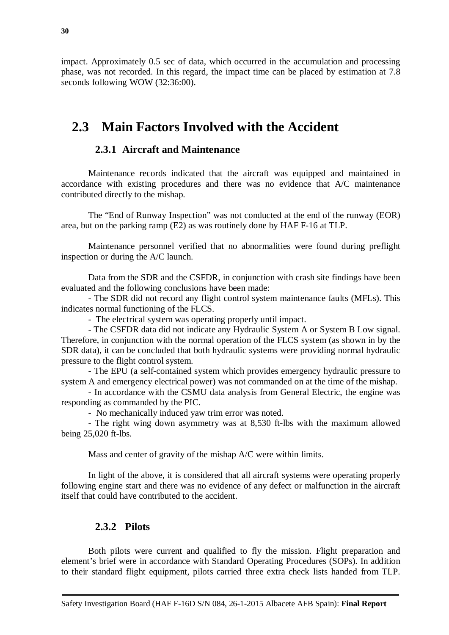impact. Approximately 0.5 sec of data, which occurred in the accumulation and processing phase, was not recorded. In this regard, the impact time can be placed by estimation at 7.8 seconds following WOW (32:36:00).

# <span id="page-29-1"></span><span id="page-29-0"></span>**2.3 Main Factors Involved with the Accident**

### **2.3.1 Aircraft and Maintenance**

Maintenance records indicated that the aircraft was equipped and maintained in accordance with existing procedures and there was no evidence that A/C maintenance contributed directly to the mishap.

The "End of Runway Inspection" was not conducted at the end of the runway (EOR) area, but on the parking ramp (E2) as was routinely done by HAF F-16 at TLP.

Maintenance personnel verified that no abnormalities were found during preflight inspection or during the A/C launch.

Data from the SDR and the CSFDR, in conjunction with crash site findings have been evaluated and the following conclusions have been made:

- The SDR did not record any flight control system maintenance faults (MFLs). This indicates normal functioning of the FLCS.

- The electrical system was operating properly until impact.

- The CSFDR data did not indicate any Hydraulic System A or System B Low signal. Therefore, in conjunction with the normal operation of the FLCS system (as shown in by the SDR data), it can be concluded that both hydraulic systems were providing normal hydraulic pressure to the flight control system.

- The EPU (a self-contained system which provides emergency hydraulic pressure to system A and emergency electrical power) was not commanded on at the time of the mishap.

- In accordance with the CSMU data analysis from General Electric, the engine was responding as commanded by the PIC.

- No mechanically induced yaw trim error was noted.

- The right wing down asymmetry was at 8,530 ft-lbs with the maximum allowed being 25,020 ft-lbs.

Mass and center of gravity of the mishap A/C were within limits.

In light of the above, it is considered that all aircraft systems were operating properly following engine start and there was no evidence of any defect or malfunction in the aircraft itself that could have contributed to the accident.

#### <span id="page-29-2"></span>**2.3.2 Pilots**

<span id="page-29-3"></span>Both pilots were current and qualified to fly the mission. Flight preparation and element's brief were in accordance with Standard Operating Procedures (SOPs). In addition to their standard flight equipment, pilots carried three extra check lists handed from TLP.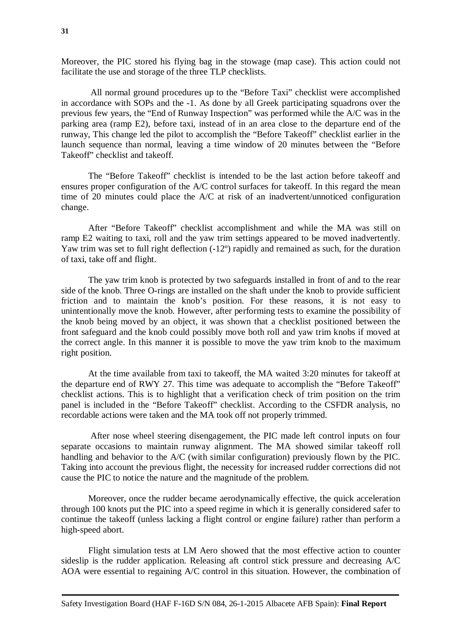Moreover, the PIC stored his flying bag in the stowage (map case). This action could not facilitate the use and storage of the three TLP checklists.

All normal ground procedures up to the "Before Taxi" checklist were accomplished in accordance with SOPs and the -1. As done by all Greek participating squadrons over the previous few years, the "End of Runway Inspection" was performed while the A/C was in the parking area (ramp E2), before taxi, instead of in an area close to the departure end of the runway, This change led the pilot to accomplish the "Before Takeoff" checklist earlier in the launch sequence than normal, leaving a time window of 20 minutes between the "Before Takeoff" checklist and takeoff.

The "Before Takeoff" checklist is intended to be the last action before takeoff and ensures proper configuration of the A/C control surfaces for takeoff. In this regard the mean time of 20 minutes could place the A/C at risk of an inadvertent/unnoticed configuration change.

After "Before Takeoff" checklist accomplishment and while the MA was still on ramp E2 waiting to taxi, roll and the yaw trim settings appeared to be moved inadvertently. Yaw trim was set to full right deflection  $(-12^{\circ})$  rapidly and remained as such, for the duration of taxi, take off and flight.

The yaw trim knob is protected by two safeguards installed in front of and to the rear side of the knob. Three O-rings are installed on the shaft under the knob to provide sufficient friction and to maintain the knob's position. For these reasons, it is not easy to unintentionally move the knob. However, after performing tests to examine the possibility of the knob being moved by an object, it was shown that a checklist positioned between the front safeguard and the knob could possibly move both roll and yaw trim knobs if moved at the correct angle. In this manner it is possible to move the yaw trim knob to the maximum right position.

At the time available from taxi to takeoff, the MA waited 3:20 minutes for takeoff at the departure end of RWY 27. This time was adequate to accomplish the "Before Takeoff" checklist actions. This is to highlight that a verification check of trim position on the trim panel is included in the "Before Takeoff" checklist. According to the CSFDR analysis, no recordable actions were taken and the MA took off not properly trimmed.

After nose wheel steering disengagement, the PIC made left control inputs on four separate occasions to maintain runway alignment. The MA showed similar takeoff roll handling and behavior to the A/C (with similar configuration) previously flown by the PIC. Taking into account the previous flight, the necessity for increased rudder corrections did not cause the PIC to notice the nature and the magnitude of the problem.

Moreover, once the rudder became aerodynamically effective, the quick acceleration through 100 knots put the PIC into a speed regime in which it is generally considered safer to continue the takeoff (unless lacking a flight control or engine failure) rather than perform a high-speed abort.

<span id="page-30-0"></span>Flight simulation tests at LM Aero showed that the most effective action to counter sideslip is the rudder application. Releasing aft control stick pressure and decreasing A/C AOA were essential to regaining A/C control in this situation. However, the combination of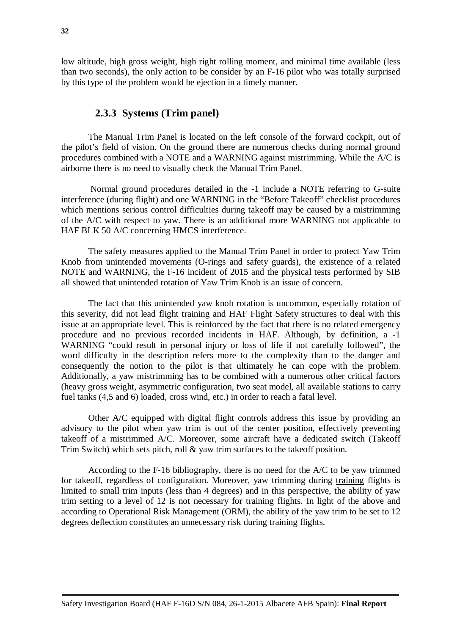low altitude, high gross weight, high right rolling moment, and minimal time available (less than two seconds), the only action to be consider by an F-16 pilot who was totally surprised by this type of the problem would be ejection in a timely manner.

#### **2.3.3 Systems (Trim panel)**

<span id="page-31-0"></span>The Manual Trim Panel is located on the left console of the forward cockpit, out of the pilot's field of vision. On the ground there are numerous checks during normal ground procedures combined with a NOTE and a WARNING against mistrimming. While the A/C is airborne there is no need to visually check the Manual Trim Panel.

Normal ground procedures detailed in the -1 include a NOTE referring to G-suite interference (during flight) and one WARNING in the "Before Takeoff" checklist procedures which mentions serious control difficulties during takeoff may be caused by a mistrimming of the A/C with respect to yaw. There is an additional more WARNING not applicable to HAF BLK 50 A/C concerning HMCS interference.

The safety measures applied to the Manual Trim Panel in order to protect Yaw Trim Knob from unintended movements (O-rings and safety guards), the existence of a related NOTE and WARNING, the F-16 incident of 2015 and the physical tests performed by SIB all showed that unintended rotation of Yaw Trim Knob is an issue of concern.

The fact that this unintended yaw knob rotation is uncommon, especially rotation of this severity, did not lead flight training and HAF Flight Safety structures to deal with this issue at an appropriate level. This is reinforced by the fact that there is no related emergency procedure and no previous recorded incidents in HAF. Although, by definition, a -1 WARNING "could result in personal injury or loss of life if not carefully followed", the word difficulty in the description refers more to the complexity than to the danger and consequently the notion to the pilot is that ultimately he can cope with the problem. Additionally, a yaw mistrimming has to be combined with a numerous other critical factors (heavy gross weight, asymmetric configuration, two seat model, all available stations to carry fuel tanks (4,5 and 6) loaded, cross wind, etc.) in order to reach a fatal level.

Other A/C equipped with digital flight controls address this issue by providing an advisory to the pilot when yaw trim is out of the center position, effectively preventing takeoff of a mistrimmed A/C. Moreover, some aircraft have a dedicated switch (Takeoff Trim Switch) which sets pitch, roll & yaw trim surfaces to the takeoff position.

According to the F-16 bibliography, there is no need for the A/C to be yaw trimmed for takeoff, regardless of configuration. Moreover, yaw trimming during training flights is limited to small trim inputs (less than 4 degrees) and in this perspective, the ability of yaw trim setting to a level of 12 is not necessary for training flights. In light of the above and according to Operational Risk Management (ORM), the ability of the yaw trim to be set to 12 degrees deflection constitutes an unnecessary risk during training flights.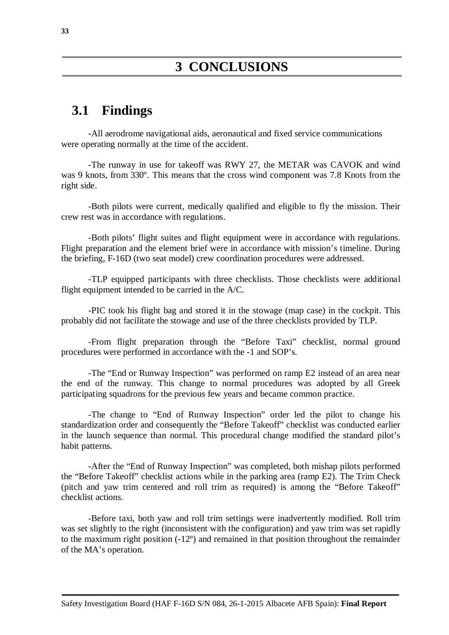### <span id="page-32-1"></span><span id="page-32-0"></span>**3.1 Findings**

-All aerodrome navigational aids, aeronautical and fixed service communications were operating normally at the time of the accident.

-The runway in use for takeoff was RWY 27, the METAR was CAVOK and wind was 9 knots, from 330º. This means that the cross wind component was 7.8 Knots from the right side.

-Both pilots were current, medically qualified and eligible to fly the mission. Their crew rest was in accordance with regulations.

-Both pilots' flight suites and flight equipment were in accordance with regulations. Flight preparation and the element brief were in accordance with mission's timeline. During the briefing, F-16D (two seat model) crew coordination procedures were addressed.

-TLP equipped participants with three checklists. Those checklists were additional flight equipment intended to be carried in the A/C.

-PIC took his flight bag and stored it in the stowage (map case) in the cockpit. This probably did not facilitate the stowage and use of the three checklists provided by TLP.

-From flight preparation through the "Before Taxi" checklist, normal ground procedures were performed in accordance with the -1 and SOP's.

-The "End or Runway Inspection" was performed on ramp E2 instead of an area near the end of the runway. This change to normal procedures was adopted by all Greek participating squadrons for the previous few years and became common practice.

-The change to "End of Runway Inspection" order led the pilot to change his standardization order and consequently the "Before Takeoff" checklist was conducted earlier in the launch sequence than normal. This procedural change modified the standard pilot's habit patterns.

-After the "End of Runway Inspection" was completed, both mishap pilots performed the "Before Takeoff" checklist actions while in the parking area (ramp E2). The Trim Check (pitch and yaw trim centered and roll trim as required) is among the "Before Takeoff" checklist actions.

-Before taxi, both yaw and roll trim settings were inadvertently modified. Roll trim was set slightly to the right (inconsistent with the configuration) and yaw trim was set rapidly to the maximum right position (-12º) and remained in that position throughout the remainder of the MA's operation.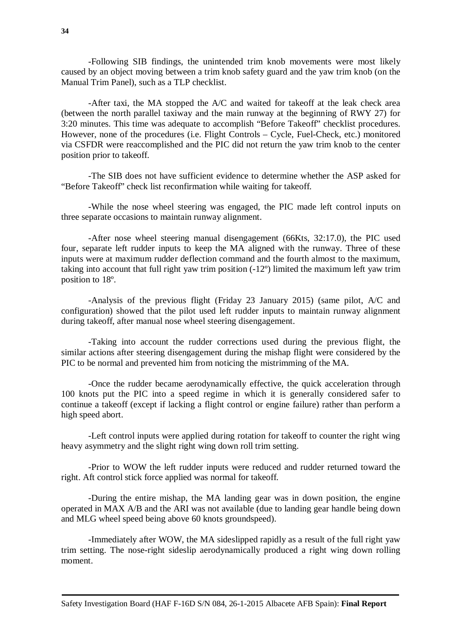-Following SIB findings, the unintended trim knob movements were most likely caused by an object moving between a trim knob safety guard and the yaw trim knob (on the Manual Trim Panel), such as a TLP checklist.

-After taxi, the MA stopped the A/C and waited for takeoff at the leak check area (between the north parallel taxiway and the main runway at the beginning of RWY 27) for 3:20 minutes. This time was adequate to accomplish "Before Takeoff" checklist procedures. However, none of the procedures (i.e. Flight Controls – Cycle, Fuel-Check, etc.) monitored via CSFDR were reaccomplished and the PIC did not return the yaw trim knob to the center position prior to takeoff.

-The SIB does not have sufficient evidence to determine whether the ASP asked for "Before Takeoff" check list reconfirmation while waiting for takeoff.

-While the nose wheel steering was engaged, the PIC made left control inputs on three separate occasions to maintain runway alignment.

-After nose wheel steering manual disengagement (66Kts, 32:17.0), the PIC used four, separate left rudder inputs to keep the MA aligned with the runway. Three of these inputs were at maximum rudder deflection command and the fourth almost to the maximum, taking into account that full right yaw trim position (-12º) limited the maximum left yaw trim position to 18º.

-Analysis of the previous flight (Friday 23 January 2015) (same pilot, A/C and configuration) showed that the pilot used left rudder inputs to maintain runway alignment during takeoff, after manual nose wheel steering disengagement.

-Taking into account the rudder corrections used during the previous flight, the similar actions after steering disengagement during the mishap flight were considered by the PIC to be normal and prevented him from noticing the mistrimming of the MA.

-Once the rudder became aerodynamically effective, the quick acceleration through 100 knots put the PIC into a speed regime in which it is generally considered safer to continue a takeoff (except if lacking a flight control or engine failure) rather than perform a high speed abort.

-Left control inputs were applied during rotation for takeoff to counter the right wing heavy asymmetry and the slight right wing down roll trim setting.

-Prior to WOW the left rudder inputs were reduced and rudder returned toward the right. Aft control stick force applied was normal for takeoff.

-During the entire mishap, the MA landing gear was in down position, the engine operated in MAX A/B and the ARI was not available (due to landing gear handle being down and MLG wheel speed being above 60 knots groundspeed).

-Immediately after WOW, the MA sideslipped rapidly as a result of the full right yaw trim setting. The nose-right sideslip aerodynamically produced a right wing down rolling moment.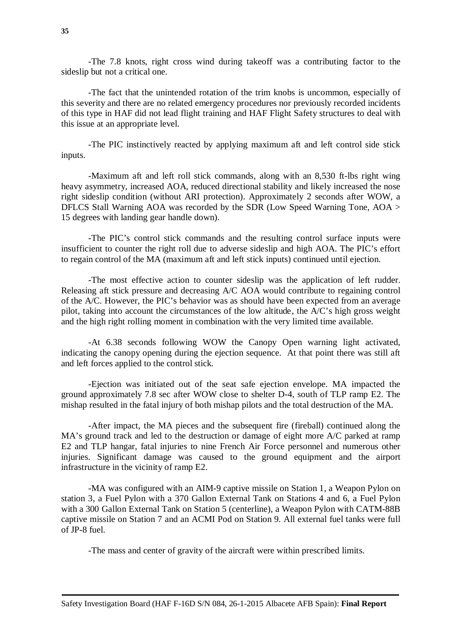-The 7.8 knots, right cross wind during takeoff was a contributing factor to the sideslip but not a critical one.

-The fact that the unintended rotation of the trim knobs is uncommon, especially of this severity and there are no related emergency procedures nor previously recorded incidents of this type in HAF did not lead flight training and HAF Flight Safety structures to deal with this issue at an appropriate level.

-The PIC instinctively reacted by applying maximum aft and left control side stick inputs.

-Maximum aft and left roll stick commands, along with an 8,530 ft-lbs right wing heavy asymmetry, increased AOA, reduced directional stability and likely increased the nose right sideslip condition (without ARI protection). Approximately 2 seconds after WOW, a DFLCS Stall Warning AOA was recorded by the SDR (Low Speed Warning Tone, AOA > 15 degrees with landing gear handle down).

-The PIC's control stick commands and the resulting control surface inputs were insufficient to counter the right roll due to adverse sideslip and high AOA. The PIC's effort to regain control of the MA (maximum aft and left stick inputs) continued until ejection.

-The most effective action to counter sideslip was the application of left rudder. Releasing aft stick pressure and decreasing A/C AOA would contribute to regaining control of the A/C. However, the PIC's behavior was as should have been expected from an average pilot, taking into account the circumstances of the low altitude, the A/C's high gross weight and the high right rolling moment in combination with the very limited time available.

-At 6.38 seconds following WOW the Canopy Open warning light activated, indicating the canopy opening during the ejection sequence. At that point there was still aft and left forces applied to the control stick.

-Ejection was initiated out of the seat safe ejection envelope. MA impacted the ground approximately 7.8 sec after WOW close to shelter D-4, south of TLP ramp E2. The mishap resulted in the fatal injury of both mishap pilots and the total destruction of the MA.

-After impact, the MA pieces and the subsequent fire (fireball) continued along the MA's ground track and led to the destruction or damage of eight more A/C parked at ramp E2 and TLP hangar, fatal injuries to nine French Air Force personnel and numerous other injuries. Significant damage was caused to the ground equipment and the airport infrastructure in the vicinity of ramp E2.

-MA was configured with an AIM-9 captive missile on Station 1, a Weapon Pylon on station 3, a Fuel Pylon with a 370 Gallon External Tank on Stations 4 and 6, a Fuel Pylon with a 300 Gallon External Tank on Station 5 (centerline), a Weapon Pylon with CATM-88B captive missile on Station 7 and an ACMI Pod on Station 9. All external fuel tanks were full of JP-8 fuel.

-The mass and center of gravity of the aircraft were within prescribed limits.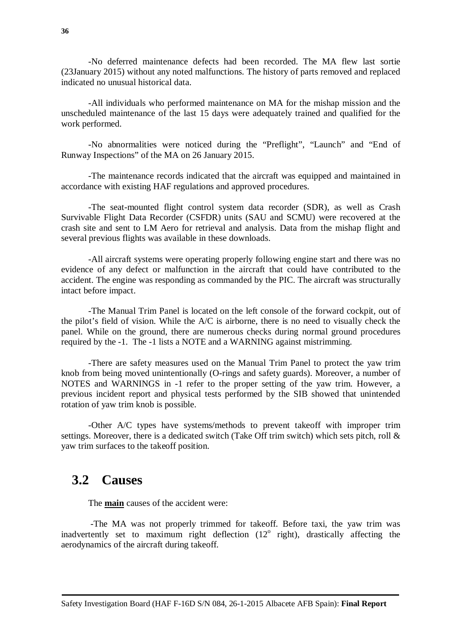-No deferred maintenance defects had been recorded. The MA flew last sortie (23January 2015) without any noted malfunctions. The history of parts removed and replaced indicated no unusual historical data.

 -All individuals who performed maintenance on MA for the mishap mission and the unscheduled maintenance of the last 15 days were adequately trained and qualified for the work performed.

-No abnormalities were noticed during the "Preflight", "Launch" and "End of Runway Inspections" of the MA on 26 January 2015.

-The maintenance records indicated that the aircraft was equipped and maintained in accordance with existing HAF regulations and approved procedures.

-The seat-mounted flight control system data recorder (SDR), as well as Crash Survivable Flight Data Recorder (CSFDR) units (SAU and SCMU) were recovered at the crash site and sent to LM Aero for retrieval and analysis. Data from the mishap flight and several previous flights was available in these downloads.

-All aircraft systems were operating properly following engine start and there was no evidence of any defect or malfunction in the aircraft that could have contributed to the accident. The engine was responding as commanded by the PIC. The aircraft was structurally intact before impact.

-The Manual Trim Panel is located on the left console of the forward cockpit, out of the pilot's field of vision. While the A/C is airborne, there is no need to visually check the panel. While on the ground, there are numerous checks during normal ground procedures required by the -1. The -1 lists a NOTE and a WARNING against mistrimming.

-There are safety measures used on the Manual Trim Panel to protect the yaw trim knob from being moved unintentionally (O-rings and safety guards). Moreover, a number of NOTES and WARNINGS in -1 refer to the proper setting of the yaw trim. However, a previous incident report and physical tests performed by the SIB showed that unintended rotation of yaw trim knob is possible.

-Other A/C types have systems/methods to prevent takeoff with improper trim settings. Moreover, there is a dedicated switch (Take Off trim switch) which sets pitch, roll & yaw trim surfaces to the takeoff position.

### <span id="page-35-0"></span>**3.2 Causes**

The **main** causes of the accident were:

<span id="page-35-1"></span>-The MA was not properly trimmed for takeoff. Before taxi, the yaw trim was inadvertently set to maximum right deflection  $(12^{\circ}$  right), drastically affecting the aerodynamics of the aircraft during takeoff.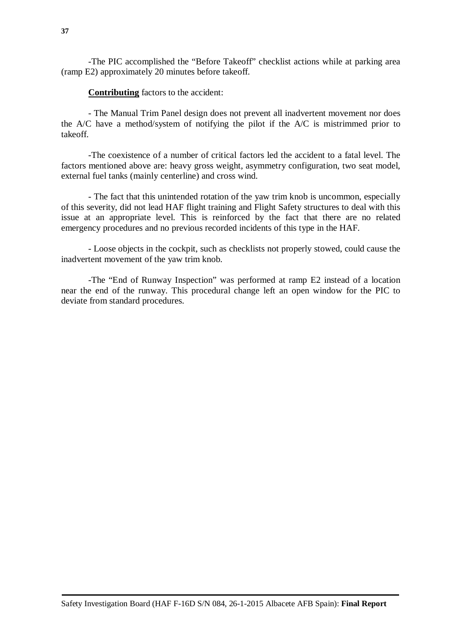-The PIC accomplished the "Before Takeoff" checklist actions while at parking area (ramp E2) approximately 20 minutes before takeoff.

#### **Contributing** factors to the accident:

- The Manual Trim Panel design does not prevent all inadvertent movement nor does the A/C have a method/system of notifying the pilot if the A/C is mistrimmed prior to takeoff.

-The coexistence of a number of critical factors led the accident to a fatal level. The factors mentioned above are: heavy gross weight, asymmetry configuration, two seat model, external fuel tanks (mainly centerline) and cross wind.

- The fact that this unintended rotation of the yaw trim knob is uncommon, especially of this severity, did not lead HAF flight training and Flight Safety structures to deal with this issue at an appropriate level. This is reinforced by the fact that there are no related emergency procedures and no previous recorded incidents of this type in the HAF.

- Loose objects in the cockpit, such as checklists not properly stowed, could cause the inadvertent movement of the yaw trim knob.

-The "End of Runway Inspection" was performed at ramp E2 instead of a location near the end of the runway. This procedural change left an open window for the PIC to deviate from standard procedures.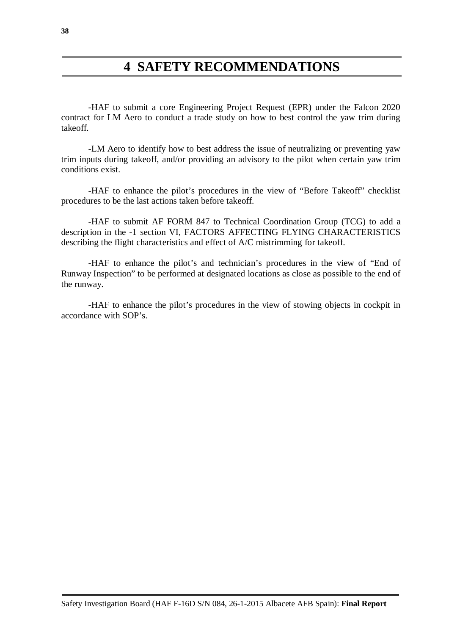## **4 SAFETY RECOMMENDATIONS**

<span id="page-37-0"></span>-HAF to submit a core Engineering Project Request (EPR) under the Falcon 2020 contract for LM Aero to conduct a trade study on how to best control the yaw trim during takeoff.

-LM Aero to identify how to best address the issue of neutralizing or preventing yaw trim inputs during takeoff, and/or providing an advisory to the pilot when certain yaw trim conditions exist.

-HAF to enhance the pilot's procedures in the view of "Before Takeoff" checklist procedures to be the last actions taken before takeoff.

-HAF to submit AF FORM 847 to Technical Coordination Group (TCG) to add a description in the -1 section VI, FACTORS AFFECTING FLYING CHARACTERISTICS describing the flight characteristics and effect of A/C mistrimming for takeoff.

-HAF to enhance the pilot's and technician's procedures in the view of "End of Runway Inspection" to be performed at designated locations as close as possible to the end of the runway.

<span id="page-37-2"></span><span id="page-37-1"></span>-HAF to enhance the pilot's procedures in the view of stowing objects in cockpit in accordance with SOP's.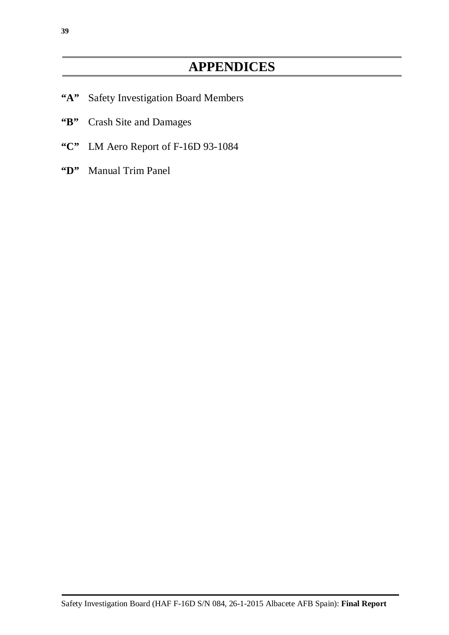# **APPENDICES**

- <span id="page-38-0"></span>**"A"** Safety Investigation Board Members
- **"B"** Crash Site and Damages
- **"C"** LM Aero Report of F-16D 93-1084
- **"D"** Manual Trim Panel